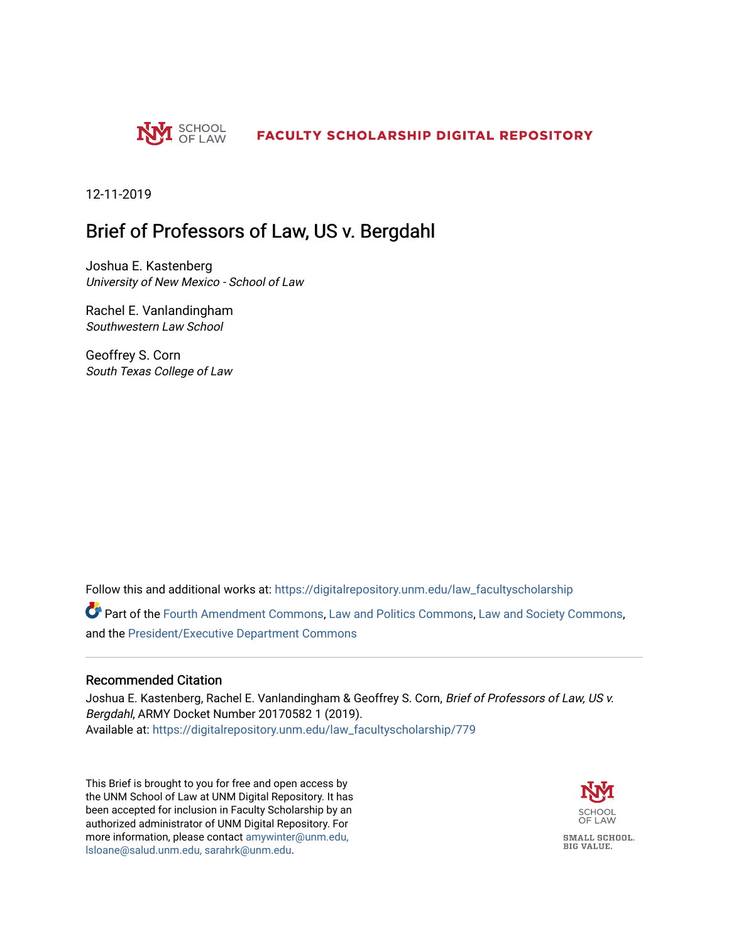

12-11-2019

# Brief of Professors of Law, US v. Bergdahl

Joshua E. Kastenberg University of New Mexico - School of Law

Rachel E. Vanlandingham Southwestern Law School

Geoffrey S. Corn South Texas College of Law

Follow this and additional works at: [https://digitalrepository.unm.edu/law\\_facultyscholarship](https://digitalrepository.unm.edu/law_facultyscholarship?utm_source=digitalrepository.unm.edu%2Flaw_facultyscholarship%2F779&utm_medium=PDF&utm_campaign=PDFCoverPages) 

Part of the [Fourth Amendment Commons,](http://network.bepress.com/hgg/discipline/1180?utm_source=digitalrepository.unm.edu%2Flaw_facultyscholarship%2F779&utm_medium=PDF&utm_campaign=PDFCoverPages) [Law and Politics Commons,](http://network.bepress.com/hgg/discipline/867?utm_source=digitalrepository.unm.edu%2Flaw_facultyscholarship%2F779&utm_medium=PDF&utm_campaign=PDFCoverPages) [Law and Society Commons](http://network.bepress.com/hgg/discipline/853?utm_source=digitalrepository.unm.edu%2Flaw_facultyscholarship%2F779&utm_medium=PDF&utm_campaign=PDFCoverPages), and the [President/Executive Department Commons](http://network.bepress.com/hgg/discipline/1118?utm_source=digitalrepository.unm.edu%2Flaw_facultyscholarship%2F779&utm_medium=PDF&utm_campaign=PDFCoverPages) 

#### Recommended Citation

Joshua E. Kastenberg, Rachel E. Vanlandingham & Geoffrey S. Corn, Brief of Professors of Law, US v. Bergdahl, ARMY Docket Number 20170582 1 (2019). Available at: [https://digitalrepository.unm.edu/law\\_facultyscholarship/779](https://digitalrepository.unm.edu/law_facultyscholarship/779?utm_source=digitalrepository.unm.edu%2Flaw_facultyscholarship%2F779&utm_medium=PDF&utm_campaign=PDFCoverPages) 

This Brief is brought to you for free and open access by the UNM School of Law at UNM Digital Repository. It has been accepted for inclusion in Faculty Scholarship by an authorized administrator of UNM Digital Repository. For more information, please contact [amywinter@unm.edu,](mailto:amywinter@unm.edu,%20lsloane@salud.unm.edu,%20sarahrk@unm.edu)  [lsloane@salud.unm.edu, sarahrk@unm.edu.](mailto:amywinter@unm.edu,%20lsloane@salud.unm.edu,%20sarahrk@unm.edu)

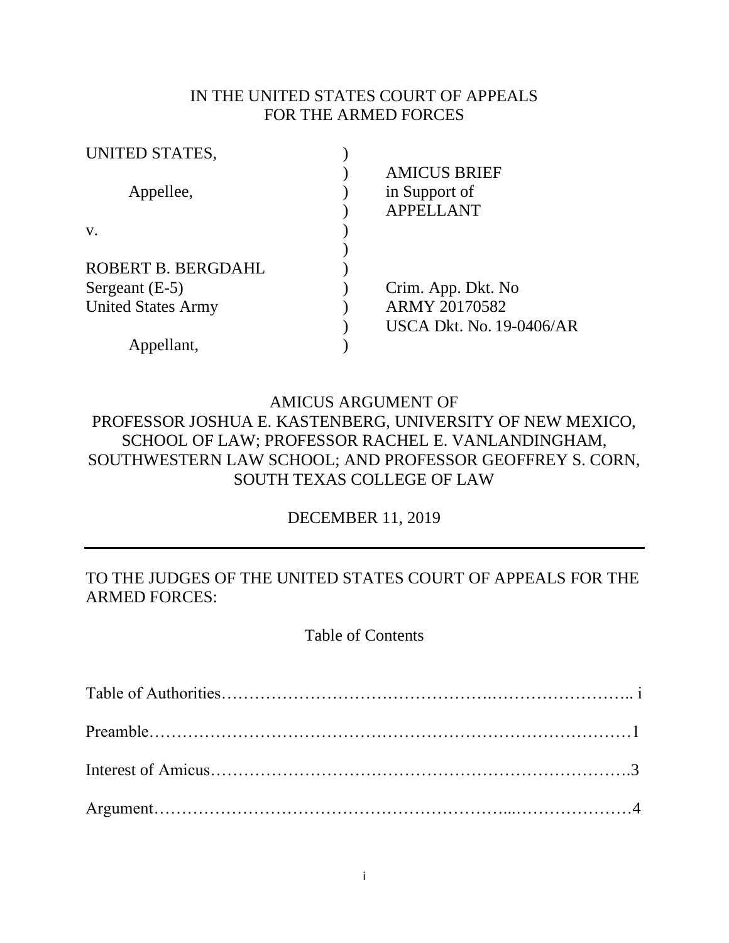### IN THE UNITED STATES COURT OF APPEALS FOR THE ARMED FORCES

| <b>AMICUS BRIEF</b>             |
|---------------------------------|
| in Support of                   |
| <b>APPELLANT</b>                |
|                                 |
|                                 |
|                                 |
| Crim. App. Dkt. No              |
| <b>ARMY 20170582</b>            |
| <b>USCA Dkt. No. 19-0406/AR</b> |
|                                 |
|                                 |

# AMICUS ARGUMENT OF PROFESSOR JOSHUA E. KASTENBERG, UNIVERSITY OF NEW MEXICO, SCHOOL OF LAW; PROFESSOR RACHEL E. VANLANDINGHAM, SOUTHWESTERN LAW SCHOOL; AND PROFESSOR GEOFFREY S. CORN, SOUTH TEXAS COLLEGE OF LAW

DECEMBER 11, 2019

# TO THE JUDGES OF THE UNITED STATES COURT OF APPEALS FOR THE ARMED FORCES:

Table of Contents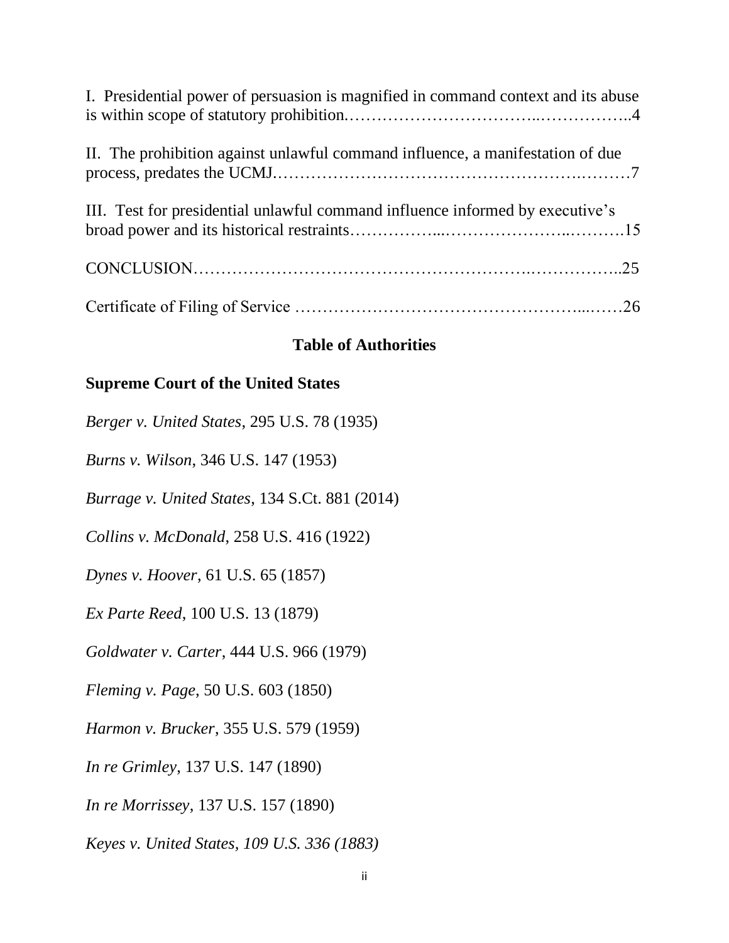| I. Presidential power of persuasion is magnified in command context and its abuse |  |
|-----------------------------------------------------------------------------------|--|
| II. The prohibition against unlawful command influence, a manifestation of due    |  |
| III. Test for presidential unlawful command influence informed by executive's     |  |
|                                                                                   |  |
|                                                                                   |  |

### **Table of Authorities**

### **Supreme Court of the United States**

*Berger v. United States*, 295 U.S. 78 (1935)

*Burns v. Wilson*, 346 U.S. 147 (1953)

*Burrage v. United States*, 134 S.Ct. 881 (2014)

*Collins v. McDonald*, 258 U.S. 416 (1922)

*Dynes v. Hoover*, 61 U.S. 65 (1857)

*Ex Parte Reed*, 100 U.S. 13 (1879)

*Goldwater v. Carter*, 444 U.S. 966 (1979)

*Fleming v. Page*, 50 U.S. 603 (1850)

*Harmon v. Brucker*, 355 U.S. 579 (1959)

*In re Grimley*, 137 U.S. 147 (1890)

*In re Morrissey*, 137 U.S. 157 (1890)

*Keyes v. United States, 109 U.S. 336 (1883)*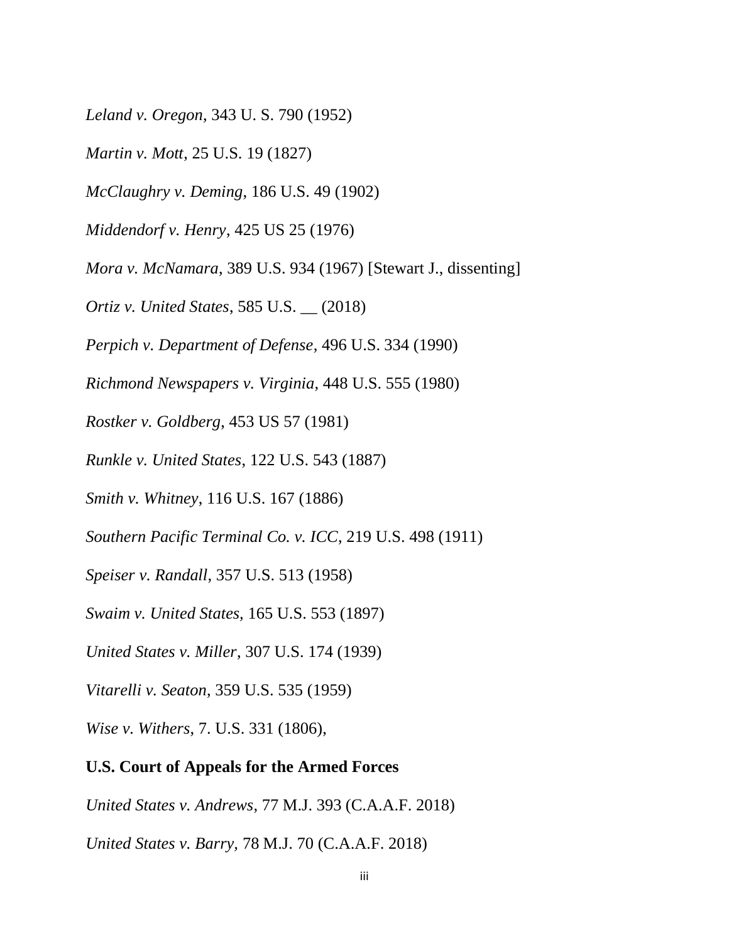*Leland v. Oregon*, 343 U. S. 790 (1952)

*Martin v. Mott*, 25 U.S. 19 (1827)

*McClaughry v. Deming*, 186 U.S. 49 (1902)

*Middendorf v. Henry*, 425 US 25 (1976)

*Mora v. McNamara*, 389 U.S. 934 (1967) [Stewart J., dissenting]

*Ortiz v. United States*, 585 U.S. \_\_ (2018)

*Perpich v. Department of Defense*, 496 U.S. 334 (1990)

*Richmond Newspapers v. Virginia*, 448 U.S. 555 (1980)

*Rostker v. Goldberg*, 453 US 57 (1981)

*Runkle v. United States*, 122 U.S. 543 (1887)

*Smith v. Whitney*, 116 U.S. 167 (1886)

*Southern Pacific Terminal Co. v. ICC*, 219 U.S. 498 (1911)

*Speiser v. Randall*, 357 U.S. 513 (1958)

*Swaim v. United States,* 165 U.S. 553 (1897)

*United States v. Miller*, 307 U.S. 174 (1939)

*Vitarelli v. Seaton*, 359 U.S. 535 (1959)

*Wise v. Withers*, 7. U.S. 331 (1806),

### **U.S. Court of Appeals for the Armed Forces**

*United States v. Andrews*, 77 M.J. 393 (C.A.A.F. 2018)

*United States v. Barry,* 78 M.J. 70 (C.A.A.F. 2018)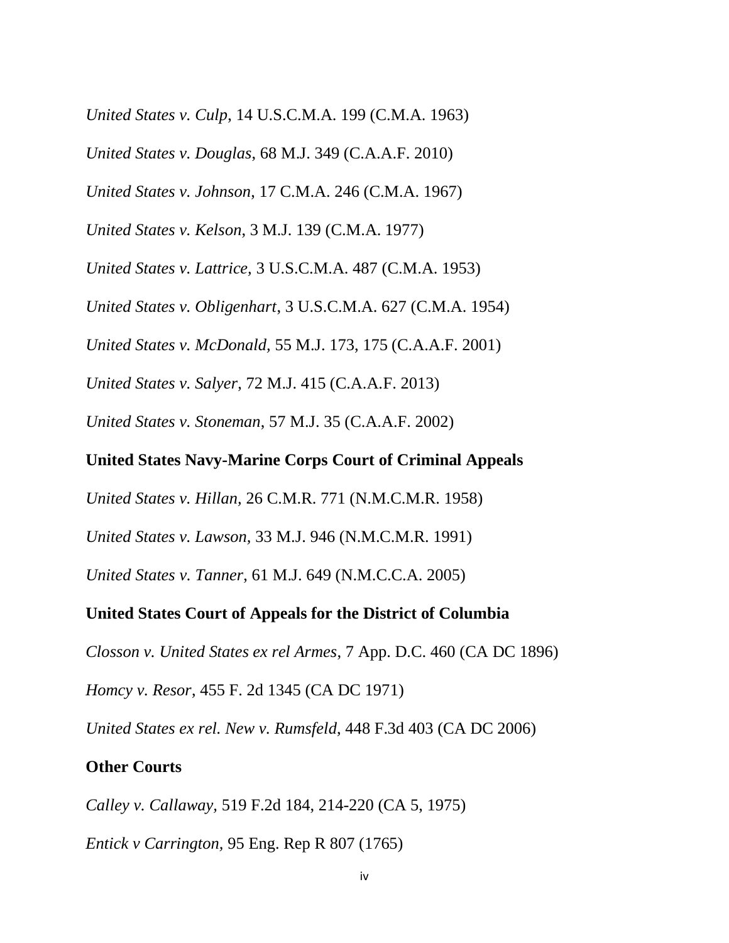*United States v. Culp*, 14 U.S.C.M.A. 199 (C.M.A. 1963)

*United States v. Douglas*, 68 M.J. 349 (C.A.A.F. 2010)

*United States v. Johnson*, 17 C.M.A. 246 (C.M.A. 1967)

*United States v. Kelson*, 3 M.J. 139 (C.M.A. 1977)

*United States v. Lattrice,* 3 U.S.C.M.A. 487 (C.M.A. 1953)

*United States v. Obligenhart*, 3 U.S.C.M.A. 627 (C.M.A. 1954)

*United States v. McDonald,* 55 M.J. 173, 175 (C.A.A.F. 2001)

*United States v. Salyer*, 72 M.J. 415 (C.A.A.F. 2013)

*United States v. Stoneman*, 57 M.J. 35 (C.A.A.F. 2002)

### **United States Navy-Marine Corps Court of Criminal Appeals**

*United States v. Hillan,* 26 C.M.R. 771 (N.M.C.M.R. 1958)

*United States v. Lawson,* 33 M.J. 946 (N.M.C.M.R. 1991)

*United States v. Tanner*, 61 M.J. 649 (N.M.C.C.A. 2005)

### **United States Court of Appeals for the District of Columbia**

*Closson v. United States ex rel Armes*, 7 App. D.C. 460 (CA DC 1896)

*Homcy v. Resor*, 455 F. 2d 1345 (CA DC 1971)

*United States ex rel. New v. Rumsfeld*, 448 F.3d 403 (CA DC 2006)

#### **Other Courts**

*Calley v. Callaway,* 519 F.2d 184, 214-220 (CA 5, 1975)

*Entick v Carrington,* 95 Eng. Rep R 807 (1765)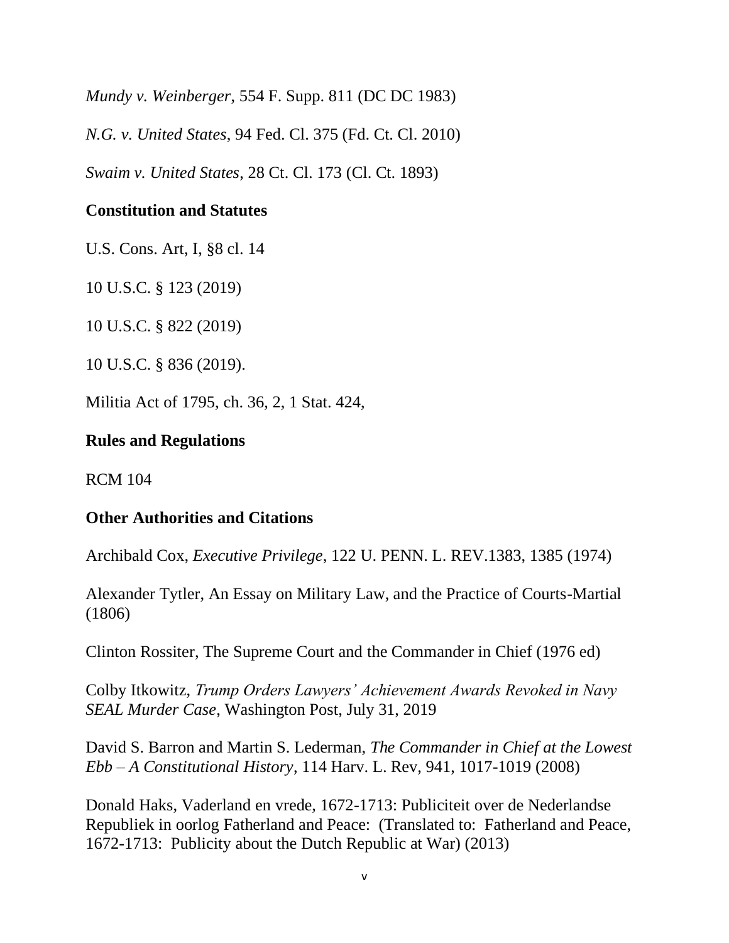*Mundy v. Weinberger*, 554 F. Supp. 811 (DC DC 1983)

*N.G. v. United States*, 94 Fed. Cl. 375 (Fd. Ct. Cl. 2010)

*Swaim v. United States*, 28 Ct. Cl. 173 (Cl. Ct. 1893)

# **Constitution and Statutes**

U.S. Cons. Art, I, §8 cl. 14

10 U.S.C. § 123 (2019)

10 U.S.C. § 822 (2019)

10 U.S.C. § 836 (2019).

Militia Act of 1795, ch. 36, 2, 1 Stat. 424,

# **Rules and Regulations**

RCM 104

# **Other Authorities and Citations**

Archibald Cox, *Executive Privilege*, 122 U. PENN. L. REV.1383, 1385 (1974)

Alexander Tytler, An Essay on Military Law, and the Practice of Courts-Martial (1806)

Clinton Rossiter, The Supreme Court and the Commander in Chief (1976 ed)

Colby Itkowitz, *Trump Orders Lawyers' Achievement Awards Revoked in Navy SEAL Murder Case*, Washington Post, July 31, 2019

David S. Barron and Martin S. Lederman, *The Commander in Chief at the Lowest Ebb – A Constitutional History*, 114 Harv. L. Rev, 941, 1017-1019 (2008)

Donald Haks, Vaderland en vrede, 1672-1713: Publiciteit over de Nederlandse Republiek in oorlog Fatherland and Peace: (Translated to: Fatherland and Peace, 1672-1713: Publicity about the Dutch Republic at War) (2013)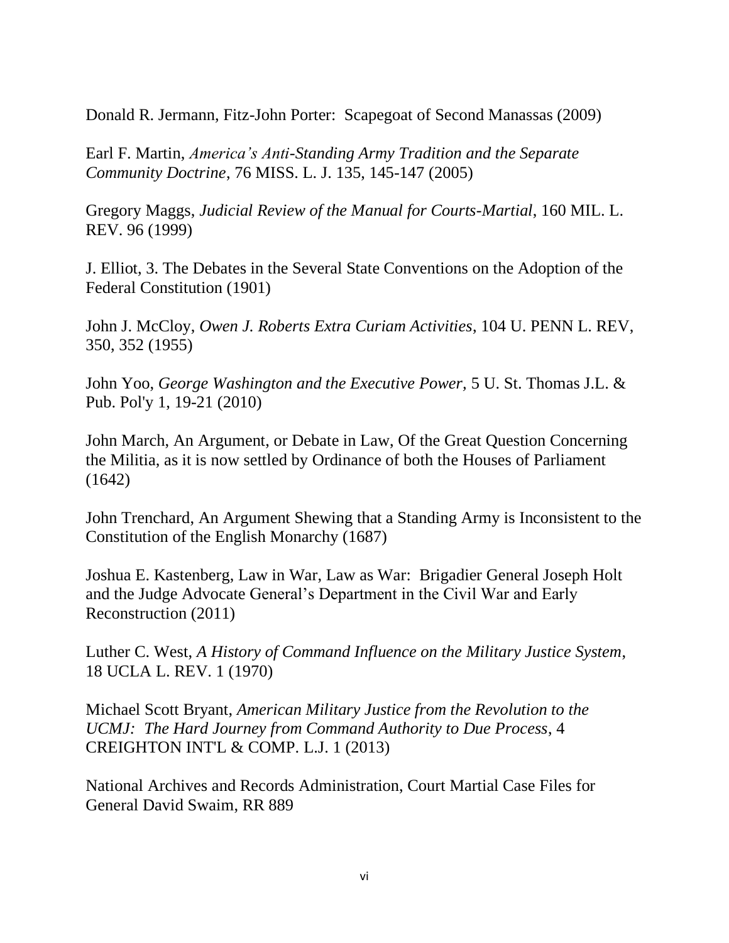Donald R. Jermann, Fitz-John Porter: Scapegoat of Second Manassas (2009)

Earl F. Martin, *America's Anti-Standing Army Tradition and the Separate Community Doctrine*, 76 MISS. L. J. 135, 145-147 (2005)

Gregory Maggs, *Judicial Review of the Manual for Courts-Martial*, 160 MIL. L. REV. 96 (1999)

J. Elliot, 3. The Debates in the Several State Conventions on the Adoption of the Federal Constitution (1901)

John J. McCloy, *Owen J. Roberts Extra Curiam Activities*, 104 U. PENN L. REV, 350, 352 (1955)

John Yoo, *George Washington and the Executive Power,* 5 U. St. Thomas J.L. & Pub. Pol'y 1, 19-21 (2010)

John March, An Argument, or Debate in Law, Of the Great Question Concerning the Militia, as it is now settled by Ordinance of both the Houses of Parliament (1642)

John Trenchard, An Argument Shewing that a Standing Army is Inconsistent to the Constitution of the English Monarchy (1687)

Joshua E. Kastenberg, Law in War, Law as War: Brigadier General Joseph Holt and the Judge Advocate General's Department in the Civil War and Early Reconstruction (2011)

Luther C. West, *A History of Command Influence on the Military Justice System*, 18 UCLA L. REV. 1 (1970)

Michael Scott Bryant, *American Military Justice from the Revolution to the UCMJ: The Hard Journey from Command Authority to Due Process*, 4 CREIGHTON INT'L & COMP. L.J. 1 (2013)

National Archives and Records Administration, Court Martial Case Files for General David Swaim, RR 889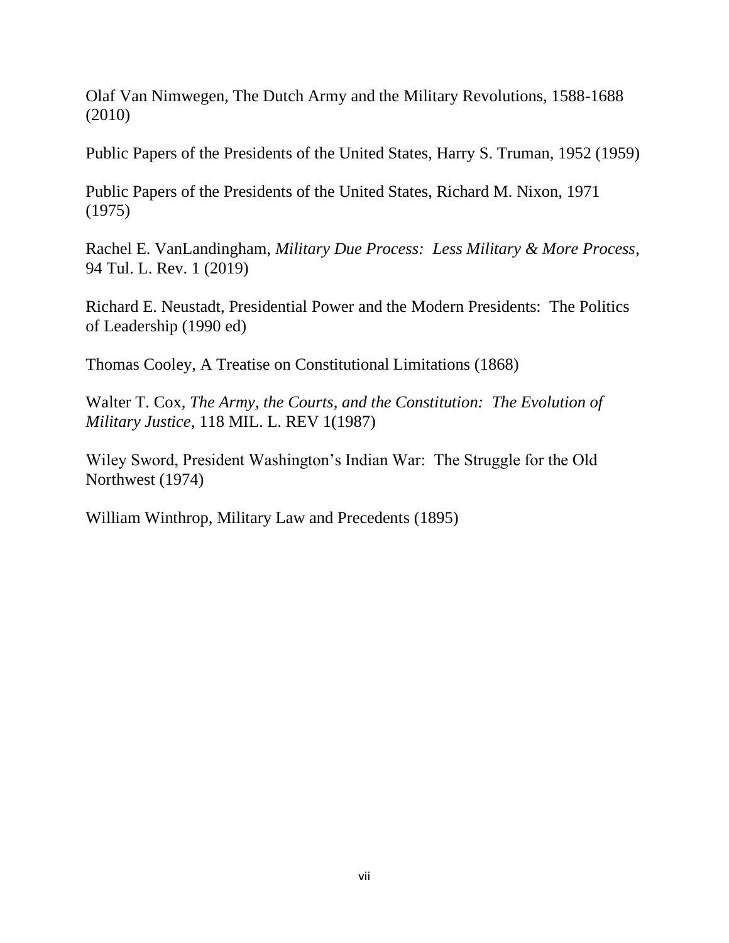Olaf Van Nimwegen, The Dutch Army and the Military Revolutions, 1588-1688 (2010)

Public Papers of the Presidents of the United States, Harry S. Truman, 1952 (1959)

Public Papers of the Presidents of the United States, Richard M. Nixon, 1971 (1975)

Rachel E. VanLandingham, *Military Due Process: Less Military & More Process*, 94 Tul. L. Rev. 1 (2019)

Richard E. Neustadt, Presidential Power and the Modern Presidents: The Politics of Leadership (1990 ed)

Thomas Cooley, A Treatise on Constitutional Limitations (1868)

Walter T. Cox, *The Army, the Courts, and the Constitution: The Evolution of Military Justice,* 118 MIL. L. REV 1(1987)

Wiley Sword, President Washington's Indian War: The Struggle for the Old Northwest (1974)

William Winthrop, Military Law and Precedents (1895)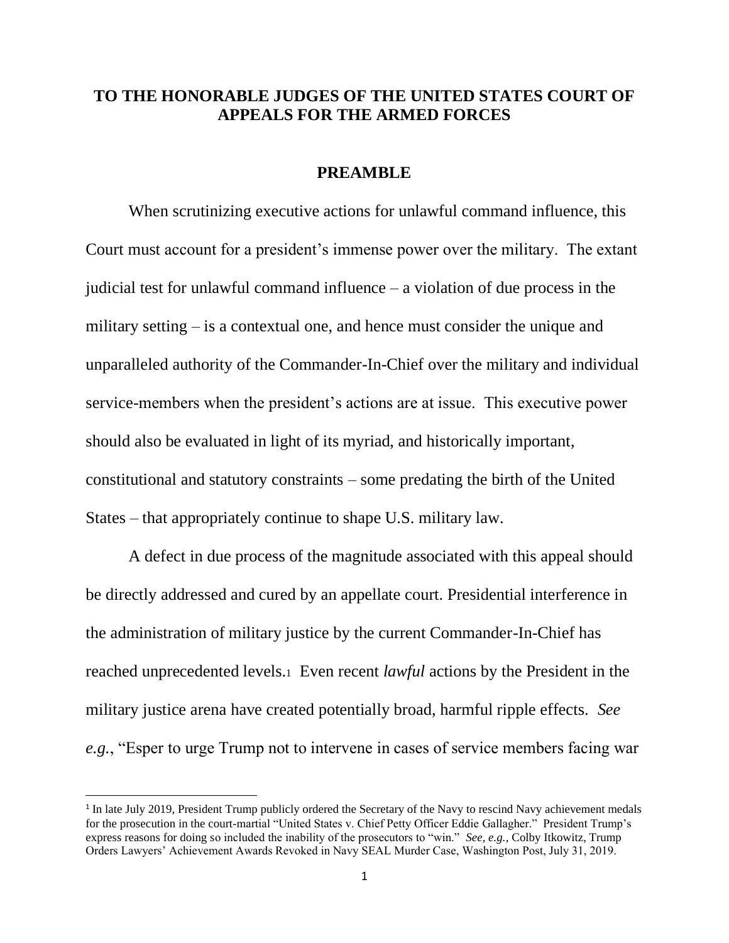### **TO THE HONORABLE JUDGES OF THE UNITED STATES COURT OF APPEALS FOR THE ARMED FORCES**

#### **PREAMBLE**

When scrutinizing executive actions for unlawful command influence, this Court must account for a president's immense power over the military. The extant judicial test for unlawful command influence – a violation of due process in the military setting – is a contextual one, and hence must consider the unique and unparalleled authority of the Commander-In-Chief over the military and individual service-members when the president's actions are at issue. This executive power should also be evaluated in light of its myriad, and historically important, constitutional and statutory constraints – some predating the birth of the United States – that appropriately continue to shape U.S. military law.

A defect in due process of the magnitude associated with this appeal should be directly addressed and cured by an appellate court. Presidential interference in the administration of military justice by the current Commander-In-Chief has reached unprecedented levels.1 Even recent *lawful* actions by the President in the military justice arena have created potentially broad, harmful ripple effects. *See e.g.*, "Esper to urge Trump not to intervene in cases of service members facing war

<sup>&</sup>lt;sup>1</sup> In late July 2019, President Trump publicly ordered the Secretary of the Navy to rescind Navy achievement medals for the prosecution in the court-martial "United States v. Chief Petty Officer Eddie Gallagher." President Trump's express reasons for doing so included the inability of the prosecutors to "win." *See, e.g.*, Colby Itkowitz, Trump Orders Lawyers' Achievement Awards Revoked in Navy SEAL Murder Case, Washington Post, July 31, 2019.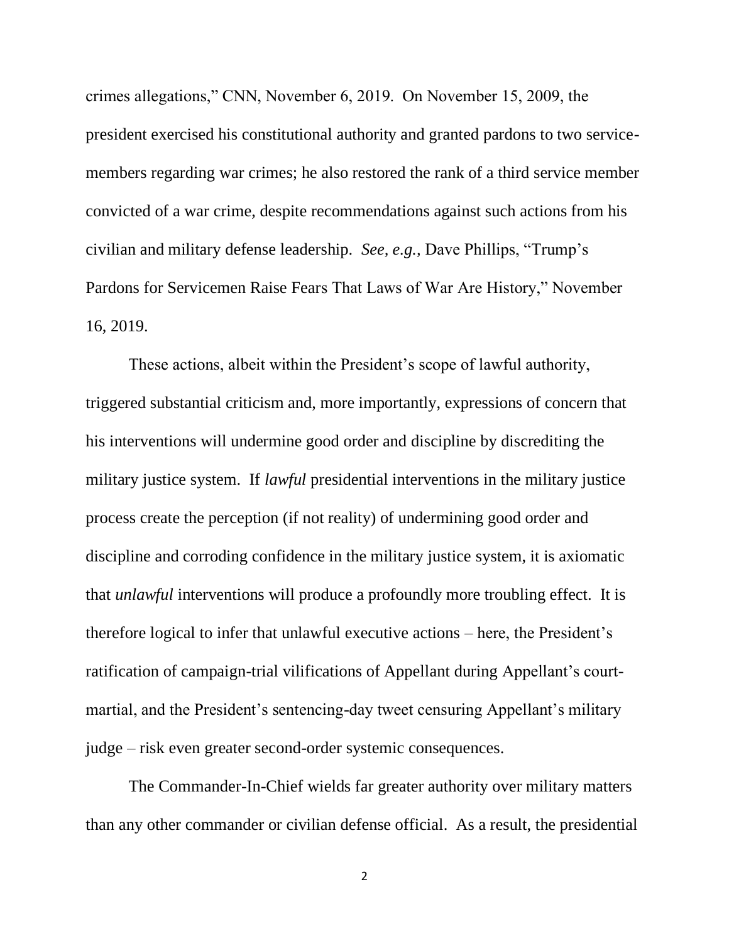crimes allegations," CNN, November 6, 2019. On November 15, 2009, the president exercised his constitutional authority and granted pardons to two servicemembers regarding war crimes; he also restored the rank of a third service member convicted of a war crime, despite recommendations against such actions from his civilian and military defense leadership. *See, e.g.,* Dave Phillips, "Trump's Pardons for Servicemen Raise Fears That Laws of War Are History," November 16, 2019.

These actions, albeit within the President's scope of lawful authority, triggered substantial criticism and, more importantly, expressions of concern that his interventions will undermine good order and discipline by discrediting the military justice system. If *lawful* presidential interventions in the military justice process create the perception (if not reality) of undermining good order and discipline and corroding confidence in the military justice system, it is axiomatic that *unlawful* interventions will produce a profoundly more troubling effect. It is therefore logical to infer that unlawful executive actions – here, the President's ratification of campaign-trial vilifications of Appellant during Appellant's courtmartial, and the President's sentencing-day tweet censuring Appellant's military judge – risk even greater second-order systemic consequences.

The Commander-In-Chief wields far greater authority over military matters than any other commander or civilian defense official. As a result, the presidential

2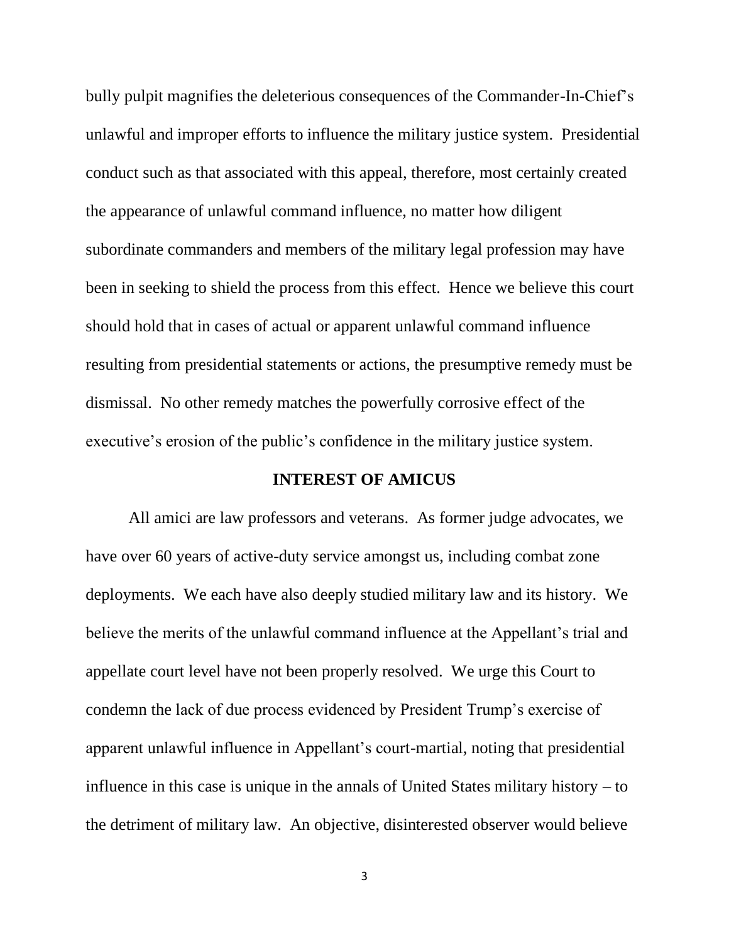bully pulpit magnifies the deleterious consequences of the Commander-In-Chief's unlawful and improper efforts to influence the military justice system. Presidential conduct such as that associated with this appeal, therefore, most certainly created the appearance of unlawful command influence, no matter how diligent subordinate commanders and members of the military legal profession may have been in seeking to shield the process from this effect. Hence we believe this court should hold that in cases of actual or apparent unlawful command influence resulting from presidential statements or actions, the presumptive remedy must be dismissal. No other remedy matches the powerfully corrosive effect of the executive's erosion of the public's confidence in the military justice system.

#### **INTEREST OF AMICUS**

All amici are law professors and veterans. As former judge advocates, we have over 60 years of active-duty service amongst us, including combat zone deployments. We each have also deeply studied military law and its history. We believe the merits of the unlawful command influence at the Appellant's trial and appellate court level have not been properly resolved. We urge this Court to condemn the lack of due process evidenced by President Trump's exercise of apparent unlawful influence in Appellant's court-martial, noting that presidential influence in this case is unique in the annals of United States military history – to the detriment of military law. An objective, disinterested observer would believe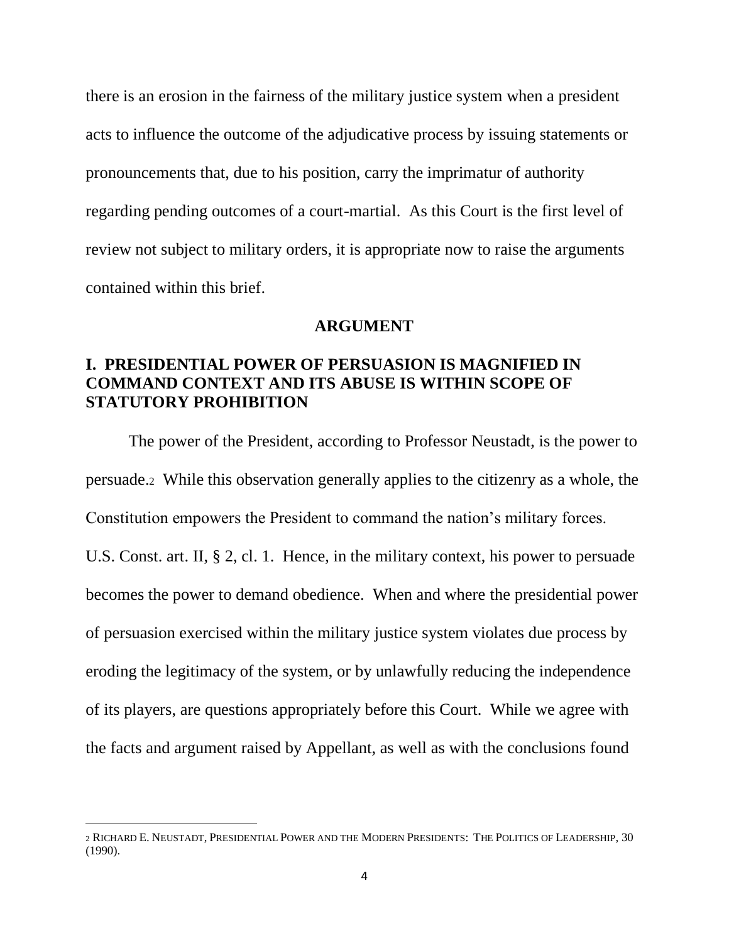there is an erosion in the fairness of the military justice system when a president acts to influence the outcome of the adjudicative process by issuing statements or pronouncements that, due to his position, carry the imprimatur of authority regarding pending outcomes of a court-martial. As this Court is the first level of review not subject to military orders, it is appropriate now to raise the arguments contained within this brief.

#### **ARGUMENT**

### **I. PRESIDENTIAL POWER OF PERSUASION IS MAGNIFIED IN COMMAND CONTEXT AND ITS ABUSE IS WITHIN SCOPE OF STATUTORY PROHIBITION**

The power of the President, according to Professor Neustadt, is the power to persuade.2 While this observation generally applies to the citizenry as a whole, the Constitution empowers the President to command the nation's military forces. U.S. Const. art. II, § 2, cl. 1. Hence, in the military context, his power to persuade becomes the power to demand obedience. When and where the presidential power of persuasion exercised within the military justice system violates due process by eroding the legitimacy of the system, or by unlawfully reducing the independence of its players, are questions appropriately before this Court. While we agree with the facts and argument raised by Appellant, as well as with the conclusions found

<sup>2</sup> RICHARD E. NEUSTADT,PRESIDENTIAL POWER AND THE MODERN PRESIDENTS: THE POLITICS OF LEADERSHIP, 30 (1990).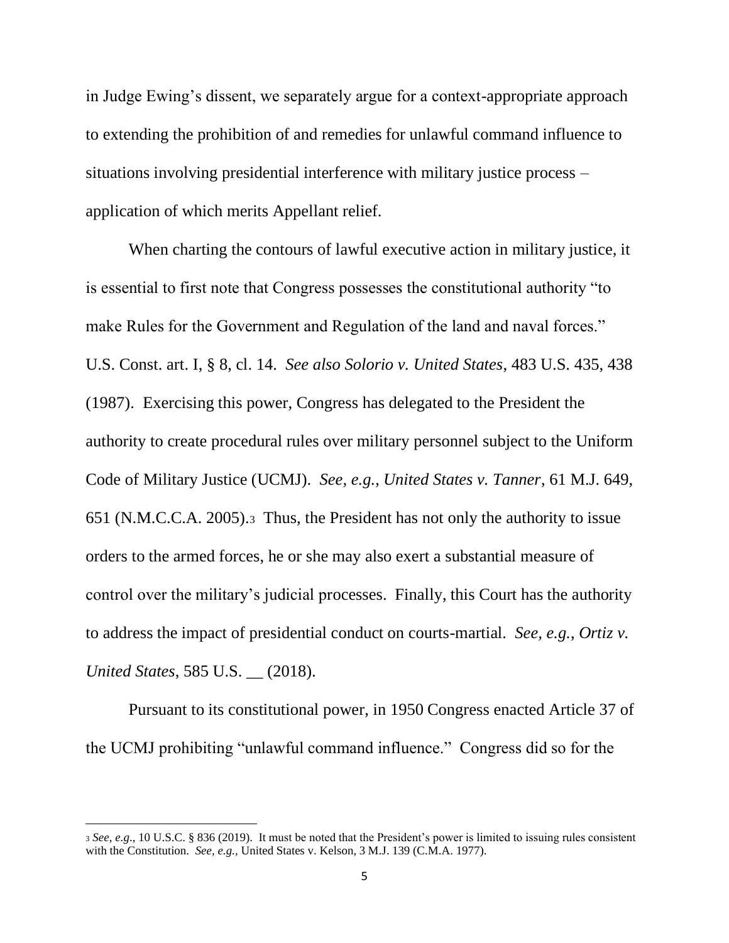in Judge Ewing's dissent, we separately argue for a context-appropriate approach to extending the prohibition of and remedies for unlawful command influence to situations involving presidential interference with military justice process – application of which merits Appellant relief.

When charting the contours of lawful executive action in military justice, it is essential to first note that Congress possesses the constitutional authority "to make Rules for the Government and Regulation of the land and naval forces." U.S. Const. art. I, § 8, cl. 14. *See also Solorio v. United States*, 483 U.S. 435, 438 (1987). Exercising this power, Congress has delegated to the President the authority to create procedural rules over military personnel subject to the Uniform Code of Military Justice (UCMJ). *See, e.g.*, *United States v. Tanner*, 61 M.J. 649, 651 (N.M.C.C.A. 2005).3 Thus, the President has not only the authority to issue orders to the armed forces, he or she may also exert a substantial measure of control over the military's judicial processes. Finally, this Court has the authority to address the impact of presidential conduct on courts-martial. *See, e.g.*, *Ortiz v. United States*, 585 U.S. \_\_ (2018).

Pursuant to its constitutional power, in 1950 Congress enacted Article 37 of the UCMJ prohibiting "unlawful command influence." Congress did so for the

<sup>3</sup> *See, e.g*., 10 U.S.C. § 836 (2019). It must be noted that the President's power is limited to issuing rules consistent with the Constitution. *See, e.g.,* United States v. Kelson, 3 M.J. 139 (C.M.A. 1977).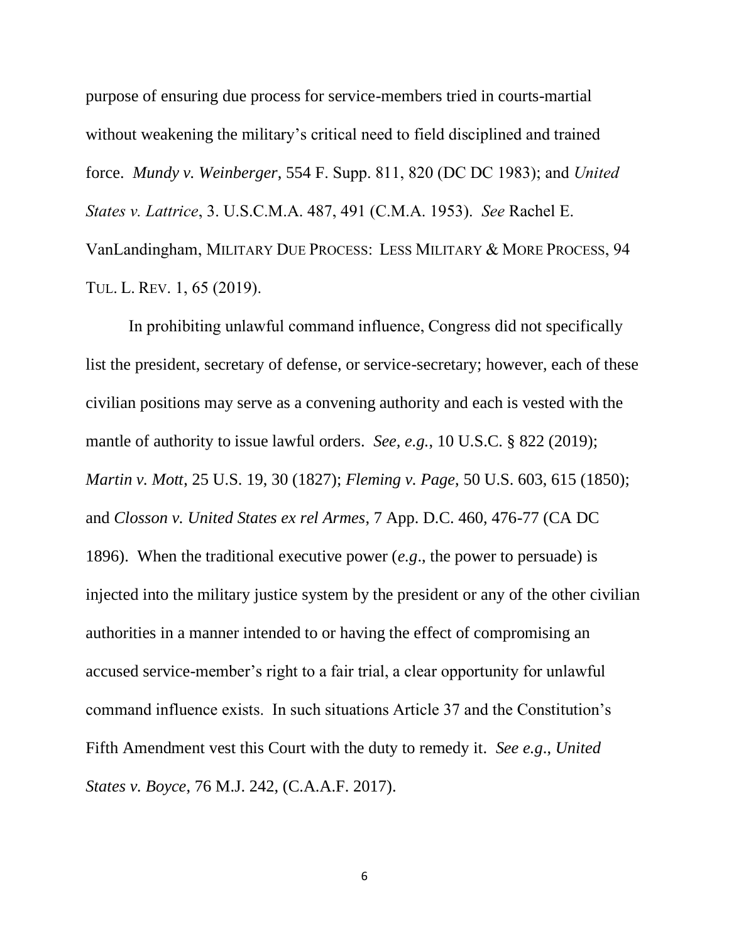purpose of ensuring due process for service-members tried in courts-martial without weakening the military's critical need to field disciplined and trained force. *Mundy v. Weinberger*, 554 F. Supp. 811, 820 (DC DC 1983); and *United States v. Lattrice*, 3. U.S.C.M.A. 487, 491 (C.M.A. 1953). *See* Rachel E. VanLandingham, MILITARY DUE PROCESS: LESS MILITARY & MORE PROCESS, 94 TUL. L. REV. 1, 65 (2019).

In prohibiting unlawful command influence, Congress did not specifically list the president, secretary of defense, or service-secretary; however, each of these civilian positions may serve as a convening authority and each is vested with the mantle of authority to issue lawful orders. *See, e.g.*, 10 U.S.C. § 822 (2019); *Martin v. Mott*, 25 U.S. 19, 30 (1827); *Fleming v. Page*, 50 U.S. 603, 615 (1850); and *Closson v. United States ex rel Armes*, 7 App. D.C. 460, 476-77 (CA DC 1896). When the traditional executive power (*e.g*., the power to persuade) is injected into the military justice system by the president or any of the other civilian authorities in a manner intended to or having the effect of compromising an accused service-member's right to a fair trial, a clear opportunity for unlawful command influence exists. In such situations Article 37 and the Constitution's Fifth Amendment vest this Court with the duty to remedy it. *See e.g*., *United States v. Boyce*, 76 M.J. 242, (C.A.A.F. 2017).

6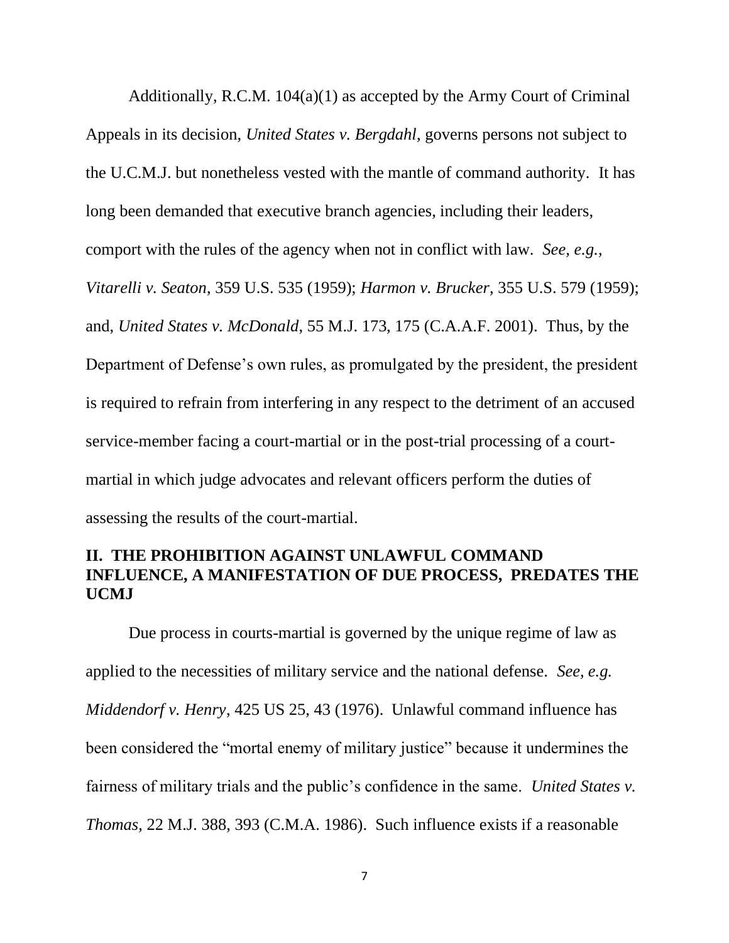Additionally, R.C.M. 104(a)(1) as accepted by the Army Court of Criminal Appeals in its decision, *United States v. Bergdahl*, governs persons not subject to the U.C.M.J. but nonetheless vested with the mantle of command authority. It has long been demanded that executive branch agencies, including their leaders, comport with the rules of the agency when not in conflict with law. *See, e.g.*, *Vitarelli v. Seaton*, 359 U.S. 535 (1959); *Harmon v. Brucker*, 355 U.S. 579 (1959); and, *United States v. McDonald*, 55 M.J. 173, 175 (C.A.A.F. 2001). Thus, by the Department of Defense's own rules, as promulgated by the president, the president is required to refrain from interfering in any respect to the detriment of an accused service-member facing a court-martial or in the post-trial processing of a courtmartial in which judge advocates and relevant officers perform the duties of assessing the results of the court-martial.

### **II. THE PROHIBITION AGAINST UNLAWFUL COMMAND INFLUENCE, A MANIFESTATION OF DUE PROCESS, PREDATES THE UCMJ**

Due process in courts-martial is governed by the unique regime of law as applied to the necessities of military service and the national defense. *See, e.g. Middendorf v. Henry*, 425 US 25, 43 (1976). Unlawful command influence has been considered the "mortal enemy of military justice" because it undermines the fairness of military trials and the public's confidence in the same. *United States v. Thomas*, 22 M.J. 388, 393 (C.M.A. 1986). Such influence exists if a reasonable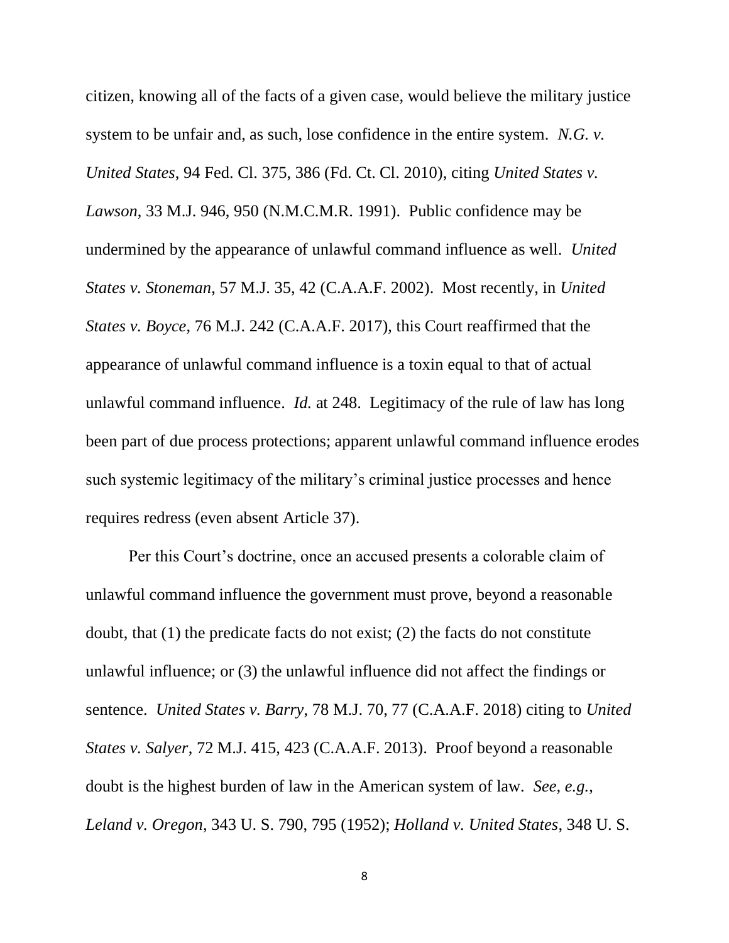citizen, knowing all of the facts of a given case, would believe the military justice system to be unfair and, as such, lose confidence in the entire system. *N.G. v. United States*, 94 Fed. Cl. 375, 386 (Fd. Ct. Cl. 2010), citing *United States v. Lawson*, 33 M.J. 946, 950 (N.M.C.M.R. 1991). Public confidence may be undermined by the appearance of unlawful command influence as well. *United States v. Stoneman*, 57 M.J. 35, 42 (C.A.A.F. 2002). Most recently, in *United States v. Boyce*, 76 M.J. 242 (C.A.A.F. 2017), this Court reaffirmed that the appearance of unlawful command influence is a toxin equal to that of actual unlawful command influence. *Id.* at 248. Legitimacy of the rule of law has long been part of due process protections; apparent unlawful command influence erodes such systemic legitimacy of the military's criminal justice processes and hence requires redress (even absent Article 37).

Per this Court's doctrine, once an accused presents a colorable claim of unlawful command influence the government must prove, beyond a reasonable doubt, that (1) the predicate facts do not exist; (2) the facts do not constitute unlawful influence; or (3) the unlawful influence did not affect the findings or sentence. *United States v. Barry*, 78 M.J. 70, 77 (C.A.A.F. 2018) citing to *United States v. Salyer*, 72 M.J. 415, 423 (C.A.A.F. 2013). Proof beyond a reasonable doubt is the highest burden of law in the American system of law. *See, e.g.*, *Leland v. Oregon*, 343 U. S. 790, 795 (1952); *Holland v. United States*, 348 U. S.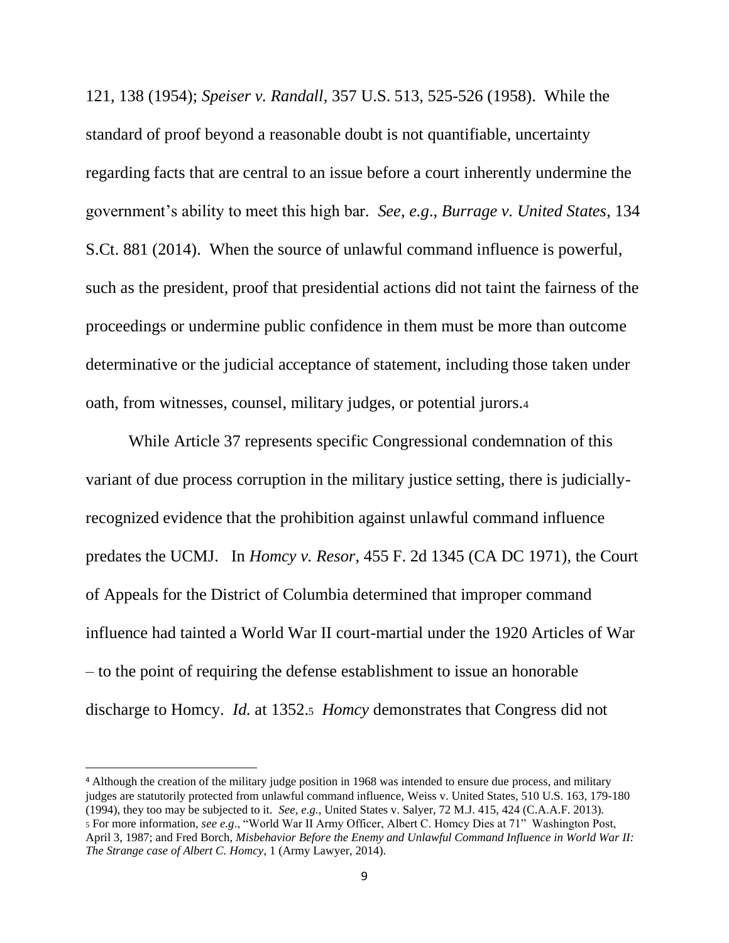121, 138 (1954); *Speiser v. Randall*, 357 U.S. 513, 525-526 (1958). While the standard of proof beyond a reasonable doubt is not quantifiable, uncertainty regarding facts that are central to an issue before a court inherently undermine the government's ability to meet this high bar*. See, e.g*., *Burrage v. United States*, 134 S.Ct. 881 (2014). When the source of unlawful command influence is powerful, such as the president, proof that presidential actions did not taint the fairness of the proceedings or undermine public confidence in them must be more than outcome determinative or the judicial acceptance of statement, including those taken under oath, from witnesses, counsel, military judges, or potential jurors.<sup>4</sup>

While Article 37 represents specific Congressional condemnation of this variant of due process corruption in the military justice setting, there is judiciallyrecognized evidence that the prohibition against unlawful command influence predates the UCMJ. In *Homcy v. Resor*, 455 F. 2d 1345 (CA DC 1971), the Court of Appeals for the District of Columbia determined that improper command influence had tainted a World War II court-martial under the 1920 Articles of War – to the point of requiring the defense establishment to issue an honorable discharge to Homcy. *Id.* at 1352.<sup>5</sup> *Homcy* demonstrates that Congress did not

<sup>4</sup> Although the creation of the military judge position in 1968 was intended to ensure due process, and military judges are statutorily protected from unlawful command influence, Weiss v. United States, 510 U.S. 163, 179-180 (1994), they too may be subjected to it. *See, e.g.*, United States v. Salyer, 72 M.J. 415, 424 (C.A.A.F. 2013). <sup>5</sup> For more information, *see e.g*., "World War II Army Officer, Albert C. Homcy Dies at 71" Washington Post, April 3, 1987; and Fred Borch, *Misbehavior Before the Enemy and Unlawful Command Influence in World War II: The Strange case of Albert C. Homcy*, 1 (Army Lawyer, 2014).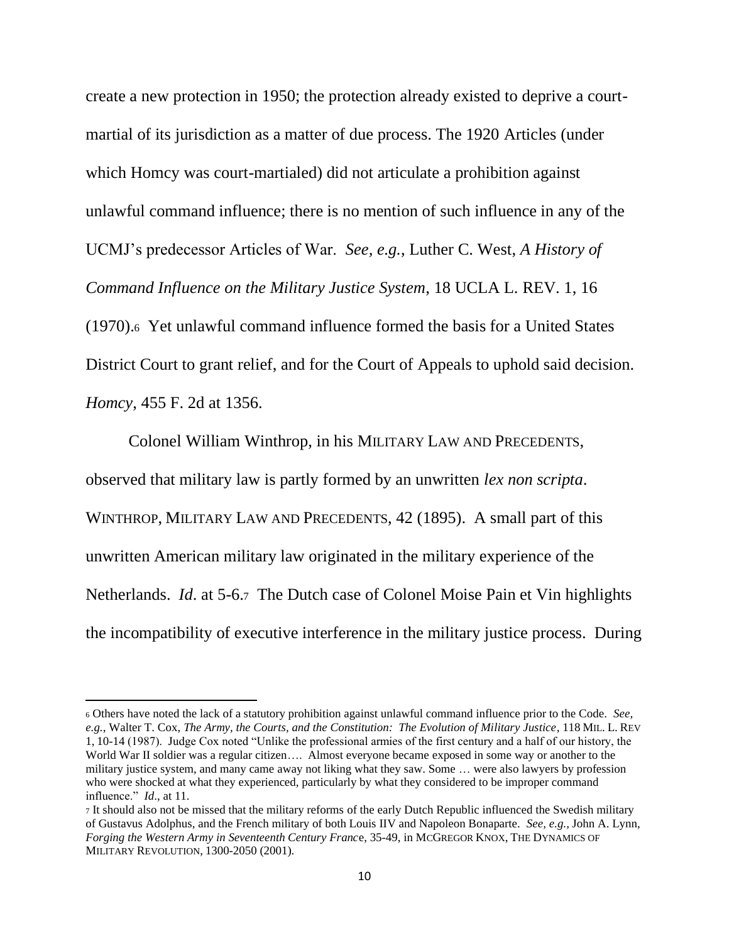create a new protection in 1950; the protection already existed to deprive a courtmartial of its jurisdiction as a matter of due process. The 1920 Articles (under which Homcy was court-martialed) did not articulate a prohibition against unlawful command influence; there is no mention of such influence in any of the UCMJ's predecessor Articles of War. *See, e.g.*, Luther C. West, *A History of Command Influence on the Military Justice System*, 18 UCLA L. REV. 1, 16 (1970).6 Yet unlawful command influence formed the basis for a United States District Court to grant relief, and for the Court of Appeals to uphold said decision. *Homcy*, 455 F. 2d at 1356.

Colonel William Winthrop, in his MILITARY LAW AND PRECEDENTS, observed that military law is partly formed by an unwritten *lex non scripta*. WINTHROP, MILITARY LAW AND PRECEDENTS, 42 (1895). A small part of this unwritten American military law originated in the military experience of the Netherlands. *Id*. at 5-6.7 The Dutch case of Colonel Moise Pain et Vin highlights the incompatibility of executive interference in the military justice process. During

<sup>6</sup> Others have noted the lack of a statutory prohibition against unlawful command influence prior to the Code. *See, e.g.*, Walter T. Cox, *The Army, the Courts, and the Constitution: The Evolution of Military Justice*, 118 MIL. L. REV 1, 10-14 (1987). Judge Cox noted "Unlike the professional armies of the first century and a half of our history, the World War II soldier was a regular citizen.... Almost everyone became exposed in some way or another to the military justice system, and many came away not liking what they saw. Some … were also lawyers by profession who were shocked at what they experienced, particularly by what they considered to be improper command influence." *Id*., at 11.

<sup>7</sup> It should also not be missed that the military reforms of the early Dutch Republic influenced the Swedish military of Gustavus Adolphus, and the French military of both Louis IIV and Napoleon Bonaparte. *See, e.g.,* John A. Lynn, *Forging the Western Army in Seventeenth Century Franc*e, 35-49, in MCGREGOR KNOX, THE DYNAMICS OF MILITARY REVOLUTION, 1300-2050 (2001).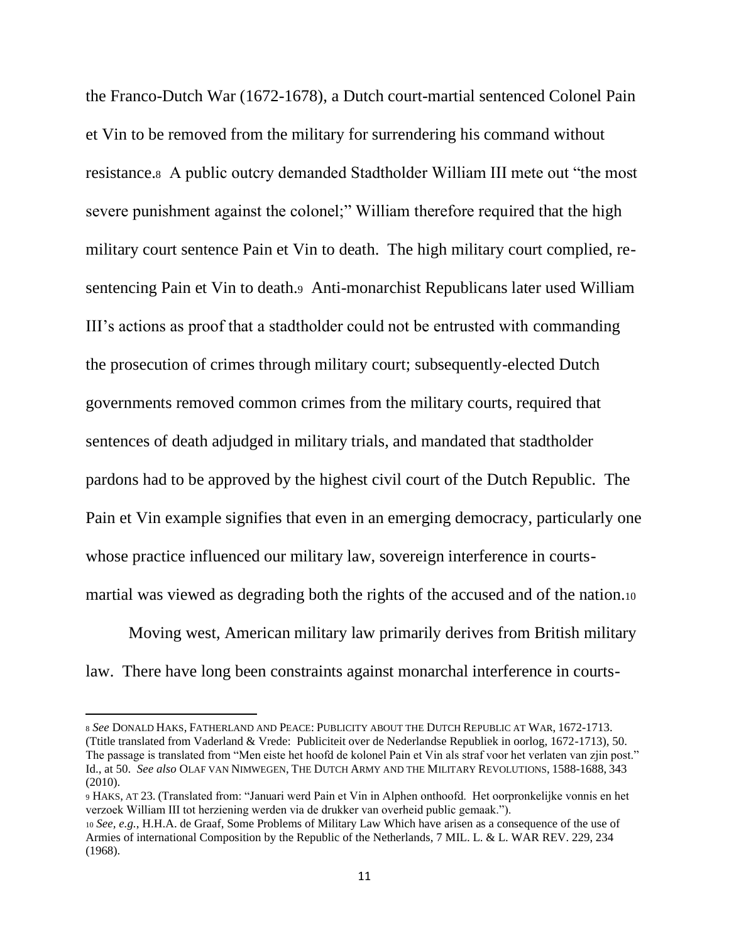the Franco-Dutch War (1672-1678), a Dutch court-martial sentenced Colonel Pain et Vin to be removed from the military for surrendering his command without resistance.8 A public outcry demanded Stadtholder William III mete out "the most severe punishment against the colonel;" William therefore required that the high military court sentence Pain et Vin to death. The high military court complied, resentencing Pain et Vin to death.9 Anti-monarchist Republicans later used William III's actions as proof that a stadtholder could not be entrusted with commanding the prosecution of crimes through military court; subsequently-elected Dutch governments removed common crimes from the military courts, required that sentences of death adjudged in military trials, and mandated that stadtholder pardons had to be approved by the highest civil court of the Dutch Republic. The Pain et Vin example signifies that even in an emerging democracy, particularly one whose practice influenced our military law, sovereign interference in courtsmartial was viewed as degrading both the rights of the accused and of the nation.<sup>10</sup>

Moving west, American military law primarily derives from British military law. There have long been constraints against monarchal interference in courts-

<sup>8</sup> See DONALD HAKS, FATHERLAND AND PEACE: PUBLICITY ABOUT THE DUTCH REPUBLIC AT WAR, 1672-1713. (Ttitle translated from Vaderland & Vrede: Publiciteit over de Nederlandse Republiek in oorlog, 1672-1713), 50. The passage is translated from "Men eiste het hoofd de kolonel Pain et Vin als straf voor het verlaten van zjin post." Id., at 50. *See also* OLAF VAN NIMWEGEN, THE DUTCH ARMY AND THE MILITARY REVOLUTIONS, 1588-1688, 343 (2010).

<sup>9</sup> HAKS, AT 23. (Translated from: "Januari werd Pain et Vin in Alphen onthoofd. Het oorpronkelijke vonnis en het verzoek William III tot herziening werden via de drukker van overheid public gemaak.").

<sup>10</sup> *See, e.g.*, H.H.A. de Graaf, Some Problems of Military Law Which have arisen as a consequence of the use of Armies of international Composition by the Republic of the Netherlands, 7 MIL. L. & L. WAR REV. 229, 234 (1968).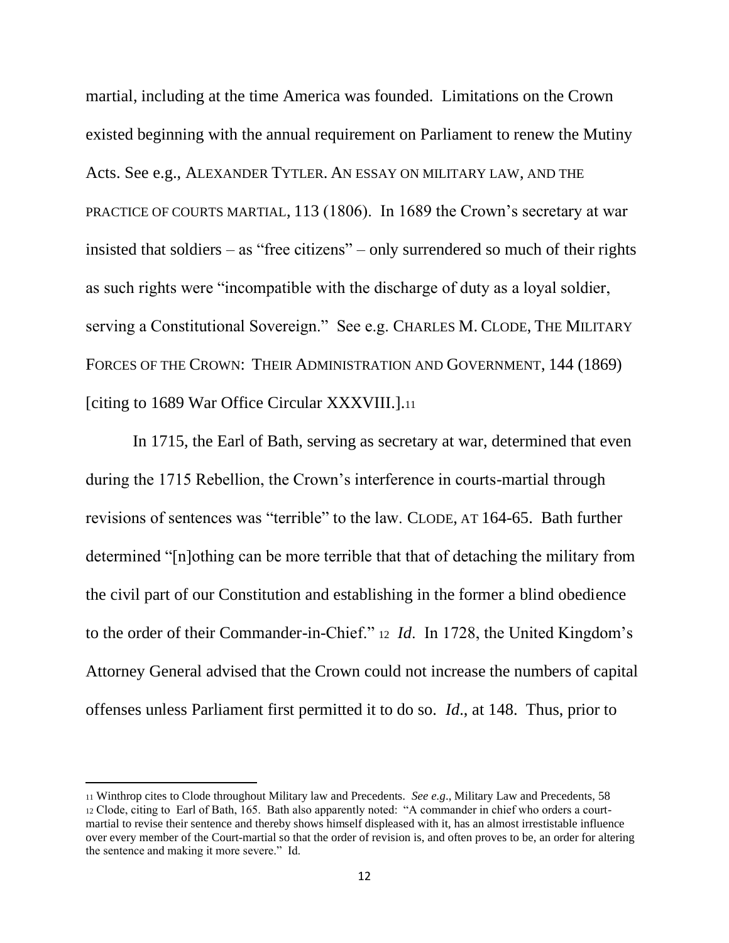martial, including at the time America was founded. Limitations on the Crown existed beginning with the annual requirement on Parliament to renew the Mutiny Acts. See e.g., ALEXANDER TYTLER. AN ESSAY ON MILITARY LAW, AND THE PRACTICE OF COURTS MARTIAL, 113 (1806). In 1689 the Crown's secretary at war insisted that soldiers – as "free citizens" – only surrendered so much of their rights as such rights were "incompatible with the discharge of duty as a loyal soldier, serving a Constitutional Sovereign." See e.g. CHARLES M. CLODE, THE MILITARY FORCES OF THE CROWN: THEIR ADMINISTRATION AND GOVERNMENT, 144 (1869) [citing to 1689 War Office Circular XXXVIII.].<sup>11</sup>

In 1715, the Earl of Bath, serving as secretary at war, determined that even during the 1715 Rebellion, the Crown's interference in courts-martial through revisions of sentences was "terrible" to the law. CLODE, AT 164-65. Bath further determined "[n]othing can be more terrible that that of detaching the military from the civil part of our Constitution and establishing in the former a blind obedience to the order of their Commander-in-Chief." <sup>12</sup> *Id*. In 1728, the United Kingdom's Attorney General advised that the Crown could not increase the numbers of capital offenses unless Parliament first permitted it to do so. *Id*., at 148. Thus, prior to

<sup>11</sup> Winthrop cites to Clode throughout Military law and Precedents. *See e.g*., Military Law and Precedents, 58 <sup>12</sup> Clode, citing to Earl of Bath, 165. Bath also apparently noted: "A commander in chief who orders a courtmartial to revise their sentence and thereby shows himself displeased with it, has an almost irrestistable influence over every member of the Court-martial so that the order of revision is, and often proves to be, an order for altering the sentence and making it more severe." Id.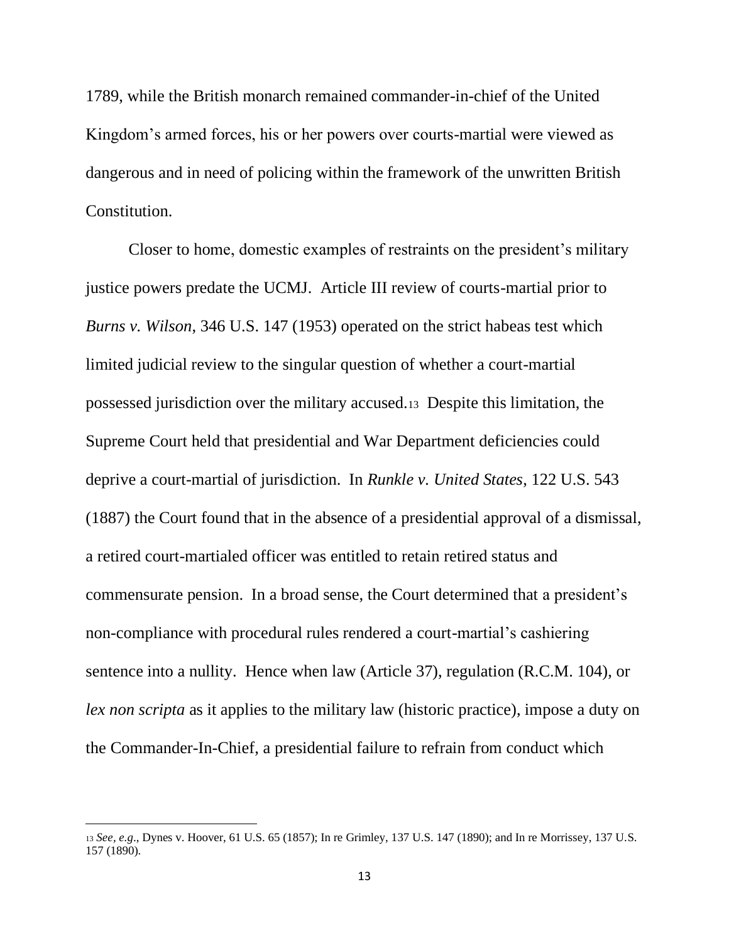1789, while the British monarch remained commander-in-chief of the United Kingdom's armed forces, his or her powers over courts-martial were viewed as dangerous and in need of policing within the framework of the unwritten British Constitution.

Closer to home, domestic examples of restraints on the president's military justice powers predate the UCMJ. Article III review of courts-martial prior to *Burns v. Wilson*, 346 U.S. 147 (1953) operated on the strict habeas test which limited judicial review to the singular question of whether a court-martial possessed jurisdiction over the military accused.13 Despite this limitation, the Supreme Court held that presidential and War Department deficiencies could deprive a court-martial of jurisdiction. In *Runkle v. United States*, 122 U.S. 543 (1887) the Court found that in the absence of a presidential approval of a dismissal, a retired court-martialed officer was entitled to retain retired status and commensurate pension. In a broad sense, the Court determined that a president's non-compliance with procedural rules rendered a court-martial's cashiering sentence into a nullity. Hence when law (Article 37), regulation (R.C.M. 104), or *lex non scripta* as it applies to the military law (historic practice), impose a duty on the Commander-In-Chief, a presidential failure to refrain from conduct which

<sup>13</sup> *See, e.g*., Dynes v. Hoover, 61 U.S. 65 (1857); In re Grimley, 137 U.S. 147 (1890); and In re Morrissey, 137 U.S. 157 (1890).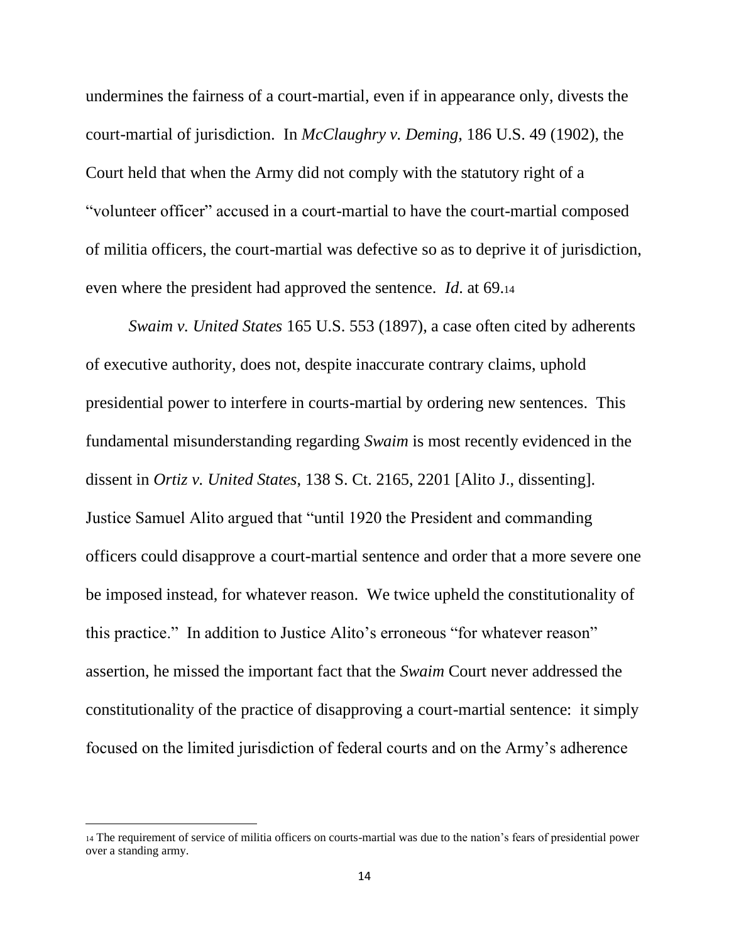undermines the fairness of a court-martial, even if in appearance only, divests the court-martial of jurisdiction. In *McClaughry v. Deming*, 186 U.S. 49 (1902), the Court held that when the Army did not comply with the statutory right of a "volunteer officer" accused in a court-martial to have the court-martial composed of militia officers, the court-martial was defective so as to deprive it of jurisdiction, even where the president had approved the sentence. *Id*. at 69.<sup>14</sup>

*Swaim v. United States* 165 U.S. 553 (1897), a case often cited by adherents of executive authority, does not, despite inaccurate contrary claims, uphold presidential power to interfere in courts-martial by ordering new sentences. This fundamental misunderstanding regarding *Swaim* is most recently evidenced in the dissent in *Ortiz v. United States*, 138 S. Ct. 2165, 2201 [Alito J., dissenting]. Justice Samuel Alito argued that "until 1920 the President and commanding officers could disapprove a court-martial sentence and order that a more severe one be imposed instead, for whatever reason. We twice upheld the constitutionality of this practice." In addition to Justice Alito's erroneous "for whatever reason" assertion, he missed the important fact that the *Swaim* Court never addressed the constitutionality of the practice of disapproving a court-martial sentence: it simply focused on the limited jurisdiction of federal courts and on the Army's adherence

<sup>14</sup> The requirement of service of militia officers on courts-martial was due to the nation's fears of presidential power over a standing army.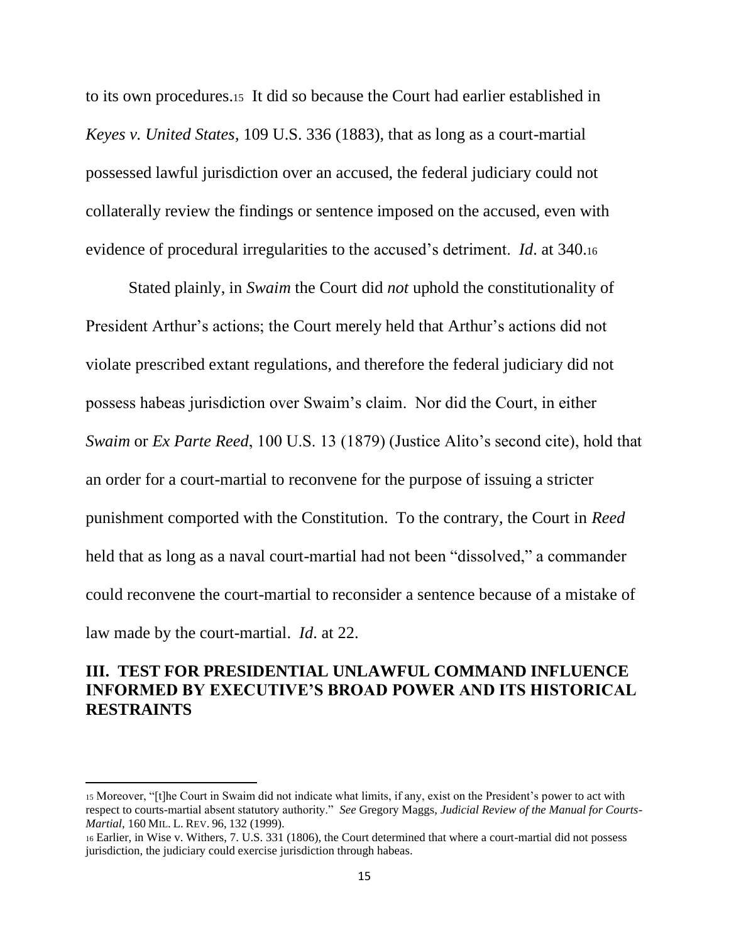to its own procedures.15 It did so because the Court had earlier established in *Keyes v. United States*, 109 U.S. 336 (1883), that as long as a court-martial possessed lawful jurisdiction over an accused, the federal judiciary could not collaterally review the findings or sentence imposed on the accused, even with evidence of procedural irregularities to the accused's detriment. *Id*. at 340.<sup>16</sup>

Stated plainly, in *Swaim* the Court did *not* uphold the constitutionality of President Arthur's actions; the Court merely held that Arthur's actions did not violate prescribed extant regulations, and therefore the federal judiciary did not possess habeas jurisdiction over Swaim's claim. Nor did the Court, in either *Swaim* or *Ex Parte Reed*, 100 U.S. 13 (1879) (Justice Alito's second cite), hold that an order for a court-martial to reconvene for the purpose of issuing a stricter punishment comported with the Constitution. To the contrary, the Court in *Reed*  held that as long as a naval court-martial had not been "dissolved," a commander could reconvene the court-martial to reconsider a sentence because of a mistake of law made by the court-martial. *Id*. at 22.

### **III. TEST FOR PRESIDENTIAL UNLAWFUL COMMAND INFLUENCE INFORMED BY EXECUTIVE'S BROAD POWER AND ITS HISTORICAL RESTRAINTS**

<sup>15</sup> Moreover, "[t]he Court in Swaim did not indicate what limits, if any, exist on the President's power to act with respect to courts-martial absent statutory authority." *See* Gregory Maggs, *Judicial Review of the Manual for Courts-Martial,* 160 MIL. L. REV. 96, 132 (1999).

<sup>16</sup> Earlier, in Wise v. Withers, 7. U.S. 331 (1806), the Court determined that where a court-martial did not possess jurisdiction, the judiciary could exercise jurisdiction through habeas.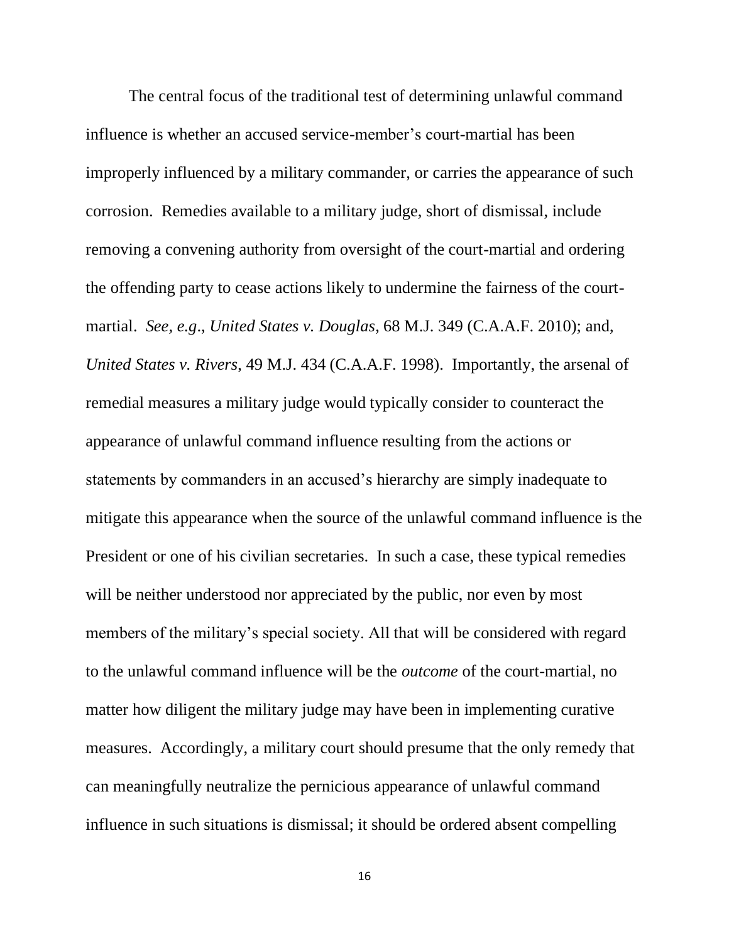The central focus of the traditional test of determining unlawful command influence is whether an accused service-member's court-martial has been improperly influenced by a military commander, or carries the appearance of such corrosion. Remedies available to a military judge, short of dismissal, include removing a convening authority from oversight of the court-martial and ordering the offending party to cease actions likely to undermine the fairness of the courtmartial. *See, e.g*., *United States v. Douglas*, 68 M.J. 349 (C.A.A.F. 2010); and, *United States v. Rivers*, 49 M.J. 434 (C.A.A.F. 1998). Importantly, the arsenal of remedial measures a military judge would typically consider to counteract the appearance of unlawful command influence resulting from the actions or statements by commanders in an accused's hierarchy are simply inadequate to mitigate this appearance when the source of the unlawful command influence is the President or one of his civilian secretaries. In such a case, these typical remedies will be neither understood nor appreciated by the public, nor even by most members of the military's special society. All that will be considered with regard to the unlawful command influence will be the *outcome* of the court-martial, no matter how diligent the military judge may have been in implementing curative measures. Accordingly, a military court should presume that the only remedy that can meaningfully neutralize the pernicious appearance of unlawful command influence in such situations is dismissal; it should be ordered absent compelling

16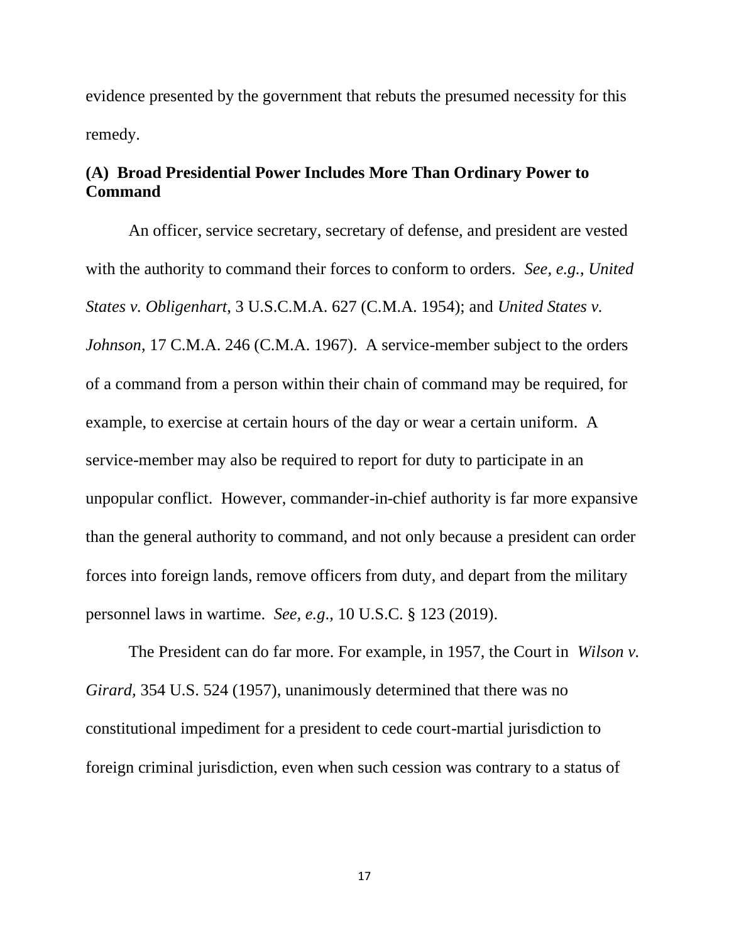evidence presented by the government that rebuts the presumed necessity for this remedy.

# **(A) Broad Presidential Power Includes More Than Ordinary Power to Command**

An officer, service secretary, secretary of defense, and president are vested with the authority to command their forces to conform to orders. *See, e.g.*, *United States v. Obligenhart*, 3 U.S.C.M.A. 627 (C.M.A. 1954); and *United States v. Johnson*, 17 C.M.A. 246 (C.M.A. 1967). A service-member subject to the orders of a command from a person within their chain of command may be required, for example, to exercise at certain hours of the day or wear a certain uniform. A service-member may also be required to report for duty to participate in an unpopular conflict. However, commander-in-chief authority is far more expansive than the general authority to command, and not only because a president can order forces into foreign lands, remove officers from duty, and depart from the military personnel laws in wartime. *See, e.g*., 10 U.S.C. § 123 (2019).

The President can do far more. For example, in 1957, the Court in *Wilson v. Girard,* 354 U.S. 524 (1957), unanimously determined that there was no constitutional impediment for a president to cede court-martial jurisdiction to foreign criminal jurisdiction, even when such cession was contrary to a status of

17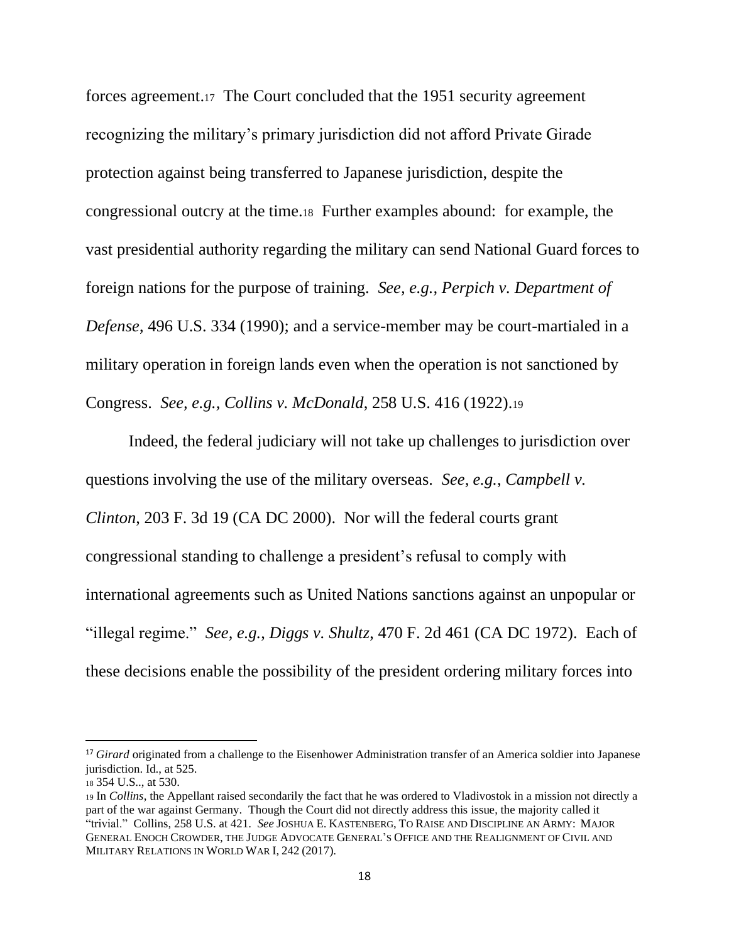forces agreement.17 The Court concluded that the 1951 security agreement recognizing the military's primary jurisdiction did not afford Private Girade protection against being transferred to Japanese jurisdiction, despite the congressional outcry at the time.18 Further examples abound: for example, the vast presidential authority regarding the military can send National Guard forces to foreign nations for the purpose of training. *See, e.g., Perpich v. Department of Defense*, 496 U.S. 334 (1990); and a service-member may be court-martialed in a military operation in foreign lands even when the operation is not sanctioned by Congress. *See, e.g., Collins v. McDonald*, 258 U.S. 416 (1922).<sup>19</sup>

Indeed, the federal judiciary will not take up challenges to jurisdiction over questions involving the use of the military overseas. *See, e.g.*, *Campbell v. Clinton*, 203 F. 3d 19 (CA DC 2000). Nor will the federal courts grant congressional standing to challenge a president's refusal to comply with international agreements such as United Nations sanctions against an unpopular or "illegal regime." *See, e.g.*, *Diggs v. Shultz*, 470 F. 2d 461 (CA DC 1972). Each of these decisions enable the possibility of the president ordering military forces into

<sup>17</sup> *Girard* originated from a challenge to the Eisenhower Administration transfer of an America soldier into Japanese jurisdiction. Id., at 525.

<sup>18</sup> 354 U.S.., at 530.

<sup>19</sup> In *Collins*, the Appellant raised secondarily the fact that he was ordered to Vladivostok in a mission not directly a part of the war against Germany. Though the Court did not directly address this issue, the majority called it "trivial." Collins, 258 U.S. at 421. *See* JOSHUA E. KASTENBERG, TO RAISE AND DISCIPLINE AN ARMY: MAJOR GENERAL ENOCH CROWDER, THE JUDGE ADVOCATE GENERAL'S OFFICE AND THE REALIGNMENT OF CIVIL AND MILITARY RELATIONS IN WORLD WAR I, 242 (2017).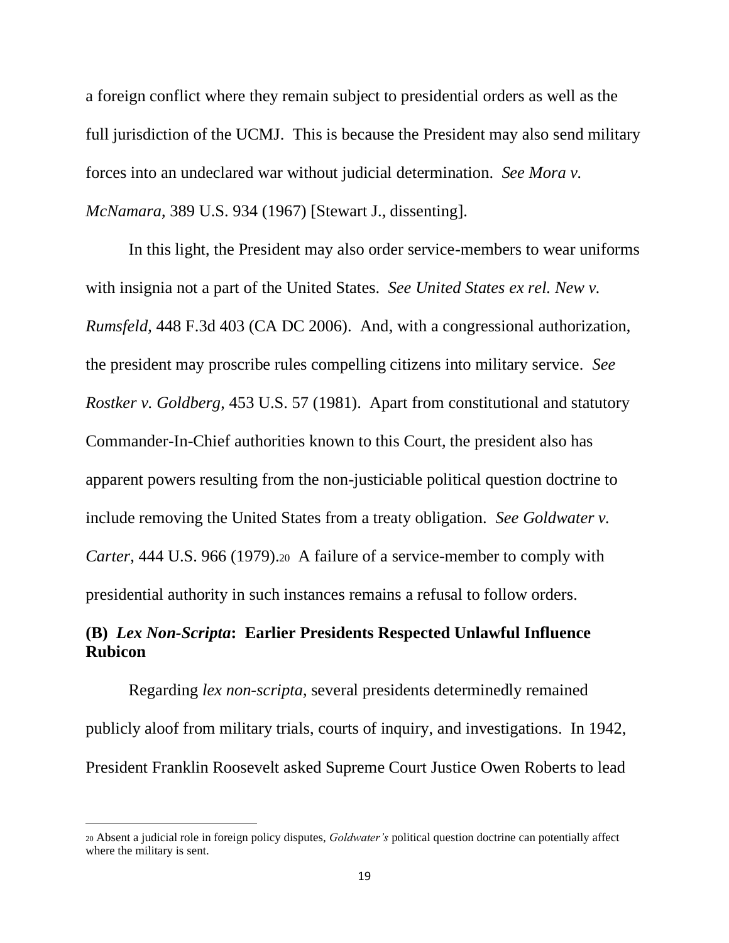a foreign conflict where they remain subject to presidential orders as well as the full jurisdiction of the UCMJ. This is because the President may also send military forces into an undeclared war without judicial determination. *See Mora v. McNamara*, 389 U.S. 934 (1967) [Stewart J., dissenting].

In this light, the President may also order service-members to wear uniforms with insignia not a part of the United States. *See United States ex rel. New v. Rumsfeld*, 448 F.3d 403 (CA DC 2006). And, with a congressional authorization, the president may proscribe rules compelling citizens into military service. *See Rostker v. Goldberg*, 453 U.S. 57 (1981). Apart from constitutional and statutory Commander-In-Chief authorities known to this Court, the president also has apparent powers resulting from the non-justiciable political question doctrine to include removing the United States from a treaty obligation. *See Goldwater v. Carter*, 444 U.S. 966 (1979).20 A failure of a service-member to comply with presidential authority in such instances remains a refusal to follow orders.

### **(B)** *Lex Non-Scripta***: Earlier Presidents Respected Unlawful Influence Rubicon**

Regarding *lex non-scripta*, several presidents determinedly remained publicly aloof from military trials, courts of inquiry, and investigations. In 1942, President Franklin Roosevelt asked Supreme Court Justice Owen Roberts to lead

<sup>20</sup> Absent a judicial role in foreign policy disputes, *Goldwater's* political question doctrine can potentially affect where the military is sent.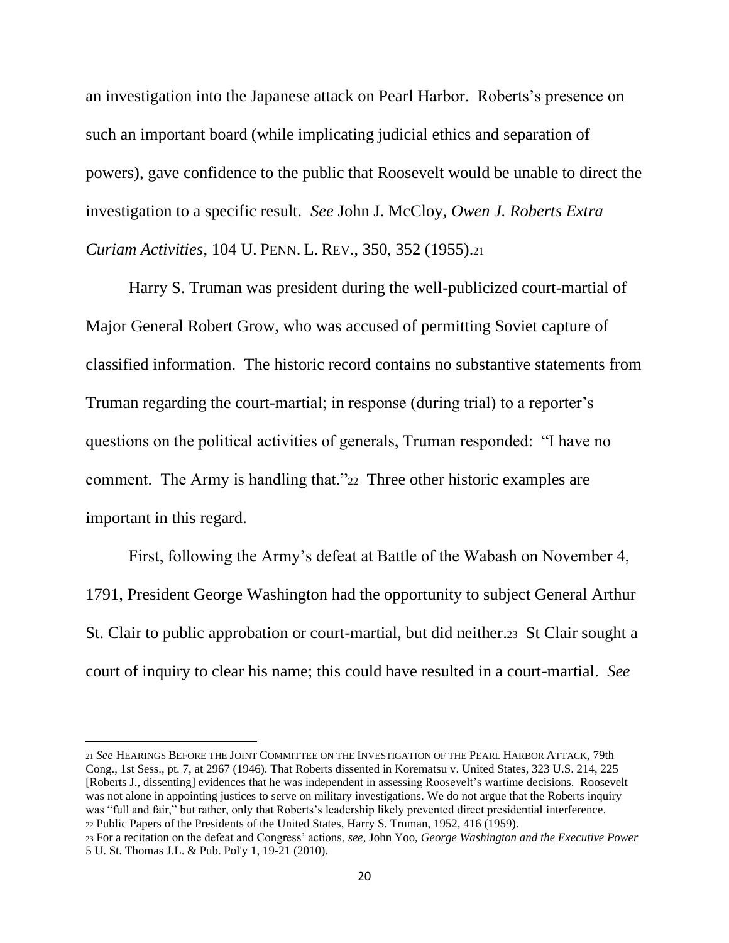an investigation into the Japanese attack on Pearl Harbor. Roberts's presence on such an important board (while implicating judicial ethics and separation of powers), gave confidence to the public that Roosevelt would be unable to direct the investigation to a specific result. *See* John J. McCloy, *Owen J. Roberts Extra Curiam Activities*, 104 U. PENN. L. REV., 350, 352 (1955).<sup>21</sup>

Harry S. Truman was president during the well-publicized court-martial of Major General Robert Grow, who was accused of permitting Soviet capture of classified information. The historic record contains no substantive statements from Truman regarding the court-martial; in response (during trial) to a reporter's questions on the political activities of generals, Truman responded: "I have no comment. The Army is handling that."22 Three other historic examples are important in this regard.

First, following the Army's defeat at Battle of the Wabash on November 4, 1791, President George Washington had the opportunity to subject General Arthur St. Clair to public approbation or court-martial, but did neither.23 St Clair sought a court of inquiry to clear his name; this could have resulted in a court-martial. *See*

<sup>21</sup> *See* HEARINGS BEFORE THE JOINT COMMITTEE ON THE INVESTIGATION OF THE PEARL HARBOR ATTACK, 79th Cong., 1st Sess., pt. 7, at 2967 (1946). That Roberts dissented in Korematsu v. United States, 323 U.S. 214, 225 [Roberts J., dissenting] evidences that he was independent in assessing Roosevelt's wartime decisions. Roosevelt was not alone in appointing justices to serve on military investigations. We do not argue that the Roberts inquiry was "full and fair," but rather, only that Roberts's leadership likely prevented direct presidential interference. <sup>22</sup> Public Papers of the Presidents of the United States, Harry S. Truman, 1952, 416 (1959).

<sup>23</sup> For a recitation on the defeat and Congress' actions, *see*, John Yoo, *George Washington and the Executive Power* 5 U. St. Thomas J.L. & Pub. Pol'y 1, 19-21 (2010).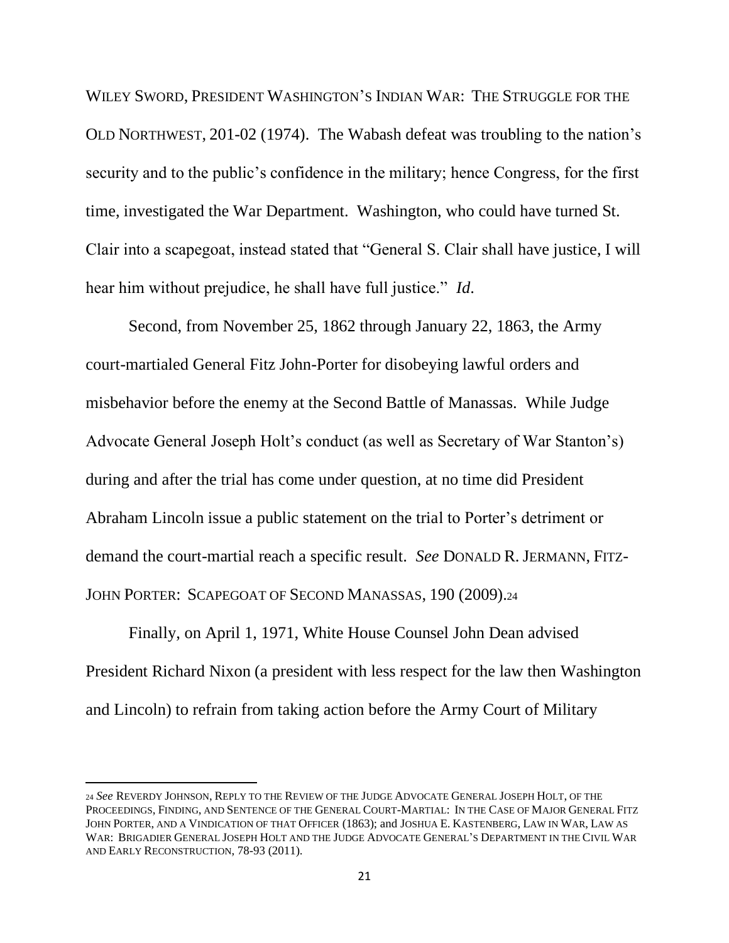WILEY SWORD, PRESIDENT WASHINGTON'S INDIAN WAR: THE STRUGGLE FOR THE OLD NORTHWEST, 201-02 (1974). The Wabash defeat was troubling to the nation's security and to the public's confidence in the military; hence Congress, for the first time, investigated the War Department. Washington, who could have turned St. Clair into a scapegoat, instead stated that "General S. Clair shall have justice, I will hear him without prejudice, he shall have full justice." *Id*.

Second, from November 25, 1862 through January 22, 1863, the Army court-martialed General Fitz John-Porter for disobeying lawful orders and misbehavior before the enemy at the Second Battle of Manassas. While Judge Advocate General Joseph Holt's conduct (as well as Secretary of War Stanton's) during and after the trial has come under question, at no time did President Abraham Lincoln issue a public statement on the trial to Porter's detriment or demand the court-martial reach a specific result. *See* DONALD R. JERMANN, FITZ-JOHN PORTER: SCAPEGOAT OF SECOND MANASSAS, 190 (2009).24

Finally, on April 1, 1971, White House Counsel John Dean advised President Richard Nixon (a president with less respect for the law then Washington and Lincoln) to refrain from taking action before the Army Court of Military

<sup>24</sup> *See* REVERDY JOHNSON, REPLY TO THE REVIEW OF THE JUDGE ADVOCATE GENERAL JOSEPH HOLT, OF THE PROCEEDINGS, FINDING, AND SENTENCE OF THE GENERAL COURT-MARTIAL: IN THE CASE OF MAJOR GENERAL FITZ JOHN PORTER, AND A VINDICATION OF THAT OFFICER (1863); and JOSHUA E. KASTENBERG, LAW IN WAR, LAW AS WAR: BRIGADIER GENERAL JOSEPH HOLT AND THE JUDGE ADVOCATE GENERAL'S DEPARTMENT IN THE CIVIL WAR AND EARLY RECONSTRUCTION, 78-93 (2011).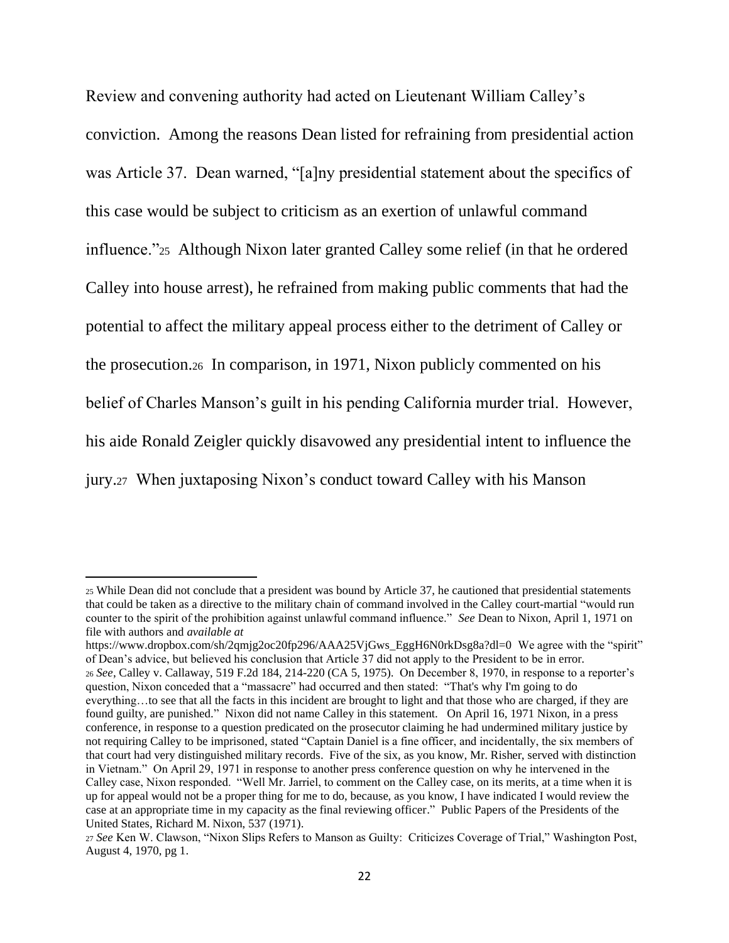Review and convening authority had acted on Lieutenant William Calley's conviction. Among the reasons Dean listed for refraining from presidential action was Article 37. Dean warned, "[a]ny presidential statement about the specifics of this case would be subject to criticism as an exertion of unlawful command influence."25 Although Nixon later granted Calley some relief (in that he ordered Calley into house arrest), he refrained from making public comments that had the potential to affect the military appeal process either to the detriment of Calley or the prosecution.26 In comparison, in 1971, Nixon publicly commented on his belief of Charles Manson's guilt in his pending California murder trial. However, his aide Ronald Zeigler quickly disavowed any presidential intent to influence the jury.27 When juxtaposing Nixon's conduct toward Calley with his Manson

https://www.dropbox.com/sh/2qmjg2oc20fp296/AAA25VjGws\_EggH6N0rkDsg8a?dl=0 We agree with the "spirit" of Dean's advice, but believed his conclusion that Article 37 did not apply to the President to be in error. <sup>26</sup> *See*, Calley v. Callaway, 519 F.2d 184, 214-220 (CA 5, 1975). On December 8, 1970, in response to a reporter's question, Nixon conceded that a "massacre" had occurred and then stated: "That's why I'm going to do everything…to see that all the facts in this incident are brought to light and that those who are charged, if they are found guilty, are punished." Nixon did not name Calley in this statement. On April 16, 1971 Nixon, in a press conference, in response to a question predicated on the prosecutor claiming he had undermined military justice by not requiring Calley to be imprisoned, stated "Captain Daniel is a fine officer, and incidentally, the six members of that court had very distinguished military records. Five of the six, as you know, Mr. Risher, served with distinction in Vietnam." On April 29, 1971 in response to another press conference question on why he intervened in the Calley case, Nixon responded. "Well Mr. Jarriel, to comment on the Calley case, on its merits, at a time when it is up for appeal would not be a proper thing for me to do, because, as you know, I have indicated I would review the case at an appropriate time in my capacity as the final reviewing officer." Public Papers of the Presidents of the United States, Richard M. Nixon, 537 (1971).

<sup>25</sup> While Dean did not conclude that a president was bound by Article 37, he cautioned that presidential statements that could be taken as a directive to the military chain of command involved in the Calley court-martial "would run counter to the spirit of the prohibition against unlawful command influence." *See* Dean to Nixon, April 1, 1971 on file with authors and *available at*

<sup>27</sup> *See* Ken W. Clawson, "Nixon Slips Refers to Manson as Guilty: Criticizes Coverage of Trial," Washington Post, August 4, 1970, pg 1.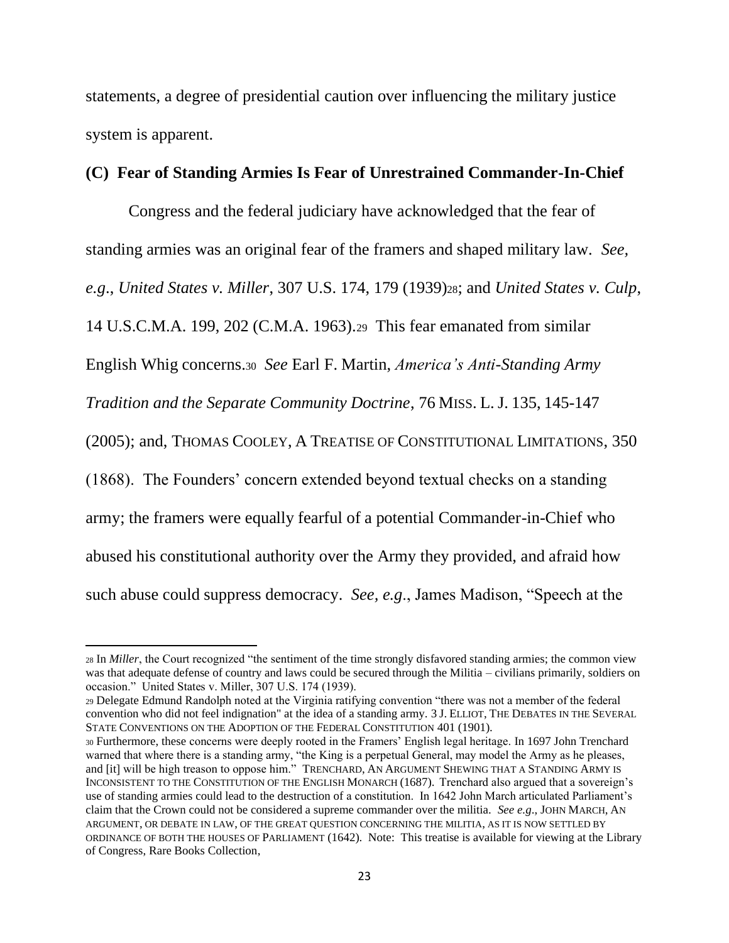statements, a degree of presidential caution over influencing the military justice system is apparent.

#### **(C) Fear of Standing Armies Is Fear of Unrestrained Commander-In-Chief**

Congress and the federal judiciary have acknowledged that the fear of standing armies was an original fear of the framers and shaped military law. *See, e.g*., *United States v. Miller*, 307 U.S. 174, 179 (1939)28; and *United States v. Culp*, 14 U.S.C.M.A. 199, 202 (C.M.A. 1963).29 This fear emanated from similar English Whig concerns.<sup>30</sup> *See* Earl F. Martin, *America's Anti-Standing Army Tradition and the Separate Community Doctrine*, 76 MISS. L. J. 135, 145-147 (2005); and, THOMAS COOLEY, A TREATISE OF CONSTITUTIONAL LIMITATIONS, 350 (1868). The Founders' concern extended beyond textual checks on a standing army; the framers were equally fearful of a potential Commander-in-Chief who abused his constitutional authority over the Army they provided, and afraid how such abuse could suppress democracy. *See, e.g*., James Madison, "Speech at the

<sup>29</sup> Delegate Edmund Randolph noted at the Virginia ratifying convention "there was not a member of the federal convention who did not feel indignation" at the idea of a standing army. 3 J. ELLIOT, THE DEBATES IN THE SEVERAL STATE CONVENTIONS ON THE ADOPTION OF THE FEDERAL CONSTITUTION 401 (1901).

<sup>30</sup> Furthermore, these concerns were deeply rooted in the Framers' English legal heritage. In 1697 John Trenchard warned that where there is a standing army, "the King is a perpetual General, may model the Army as he pleases, and [it] will be high treason to oppose him." TRENCHARD, AN ARGUMENT SHEWING THAT A STANDING ARMY IS INCONSISTENT TO THE CONSTITUTION OF THE ENGLISH MONARCH (1687). Trenchard also argued that a sovereign's use of standing armies could lead to the destruction of a constitution. In 1642 John March articulated Parliament's claim that the Crown could not be considered a supreme commander over the militia. *See e.g*., JOHN MARCH, AN ARGUMENT, OR DEBATE IN LAW, OF THE GREAT QUESTION CONCERNING THE MILITIA, AS IT IS NOW SETTLED BY ORDINANCE OF BOTH THE HOUSES OF PARLIAMENT (1642). Note: This treatise is available for viewing at the Library of Congress, Rare Books Collection,

<sup>28</sup> In *Miller*, the Court recognized "the sentiment of the time strongly disfavored standing armies; the common view was that adequate defense of country and laws could be secured through the Militia – civilians primarily, soldiers on occasion." United States v. Miller, 307 U.S. 174 (1939).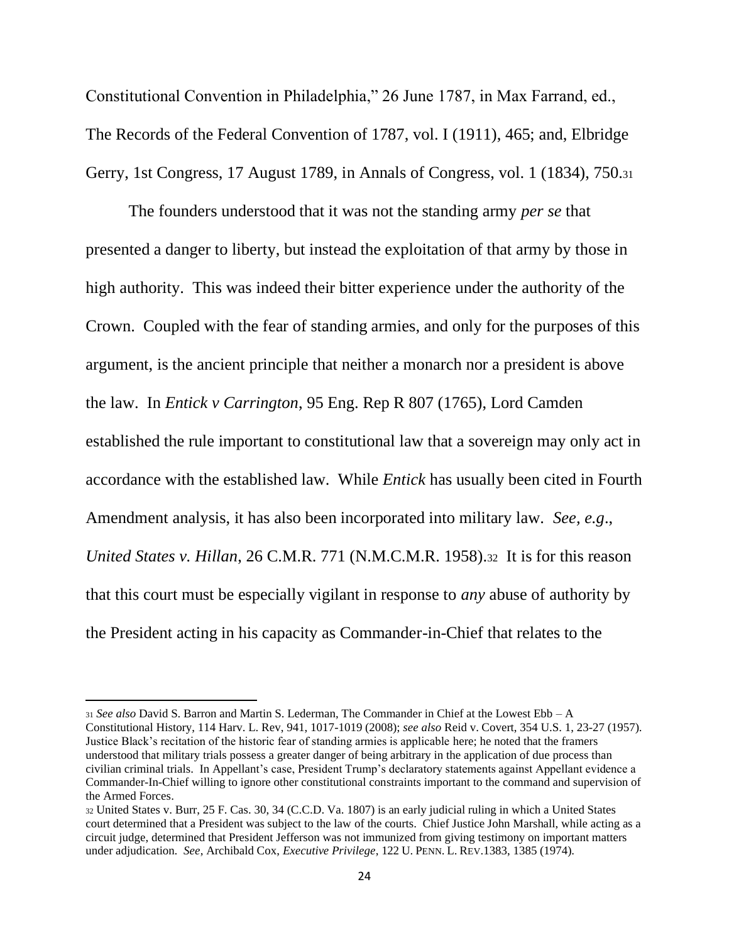Constitutional Convention in Philadelphia," 26 June 1787, in Max Farrand, ed., The Records of the Federal Convention of 1787, vol. I (1911), 465; and, Elbridge Gerry, 1st Congress, 17 August 1789, in Annals of Congress, vol. 1 (1834), 750.<sup>31</sup>

The founders understood that it was not the standing army *per se* that presented a danger to liberty, but instead the exploitation of that army by those in high authority. This was indeed their bitter experience under the authority of the Crown. Coupled with the fear of standing armies, and only for the purposes of this argument, is the ancient principle that neither a monarch nor a president is above the law. In *Entick v Carrington*, 95 Eng. Rep R 807 (1765), Lord Camden established the rule important to constitutional law that a sovereign may only act in accordance with the established law. While *Entick* has usually been cited in Fourth Amendment analysis, it has also been incorporated into military law. *See, e.g*., *United States v. Hillan*, 26 C.M.R. 771 (N.M.C.M.R. 1958).32 It is for this reason that this court must be especially vigilant in response to *any* abuse of authority by the President acting in his capacity as Commander-in-Chief that relates to the

<sup>31</sup> *See also* David S. Barron and Martin S. Lederman, The Commander in Chief at the Lowest Ebb – A Constitutional History, 114 Harv. L. Rev, 941, 1017-1019 (2008); *see also* Reid v. Covert, 354 U.S. 1, 23-27 (1957). Justice Black's recitation of the historic fear of standing armies is applicable here; he noted that the framers understood that military trials possess a greater danger of being arbitrary in the application of due process than civilian criminal trials. In Appellant's case, President Trump's declaratory statements against Appellant evidence a Commander-In-Chief willing to ignore other constitutional constraints important to the command and supervision of the Armed Forces.

<sup>32</sup> United States v. Burr, 25 F. Cas. 30, 34 (C.C.D. Va. 1807) is an early judicial ruling in which a United States court determined that a President was subject to the law of the courts. Chief Justice John Marshall, while acting as a circuit judge, determined that President Jefferson was not immunized from giving testimony on important matters under adjudication*. See*, Archibald Cox, *Executive Privilege*, 122 U.PENN. L. REV.1383, 1385 (1974).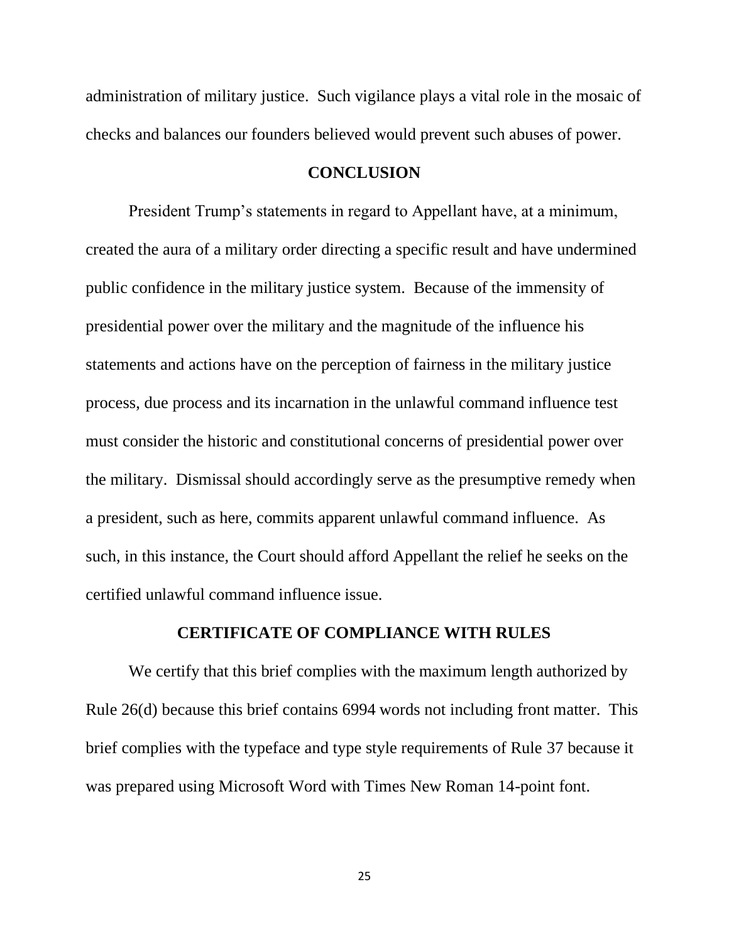administration of military justice. Such vigilance plays a vital role in the mosaic of checks and balances our founders believed would prevent such abuses of power.

#### **CONCLUSION**

President Trump's statements in regard to Appellant have, at a minimum, created the aura of a military order directing a specific result and have undermined public confidence in the military justice system. Because of the immensity of presidential power over the military and the magnitude of the influence his statements and actions have on the perception of fairness in the military justice process, due process and its incarnation in the unlawful command influence test must consider the historic and constitutional concerns of presidential power over the military. Dismissal should accordingly serve as the presumptive remedy when a president, such as here, commits apparent unlawful command influence. As such, in this instance, the Court should afford Appellant the relief he seeks on the certified unlawful command influence issue.

#### **CERTIFICATE OF COMPLIANCE WITH RULES**

We certify that this brief complies with the maximum length authorized by Rule 26(d) because this brief contains 6994 words not including front matter. This brief complies with the typeface and type style requirements of Rule 37 because it was prepared using Microsoft Word with Times New Roman 14-point font.